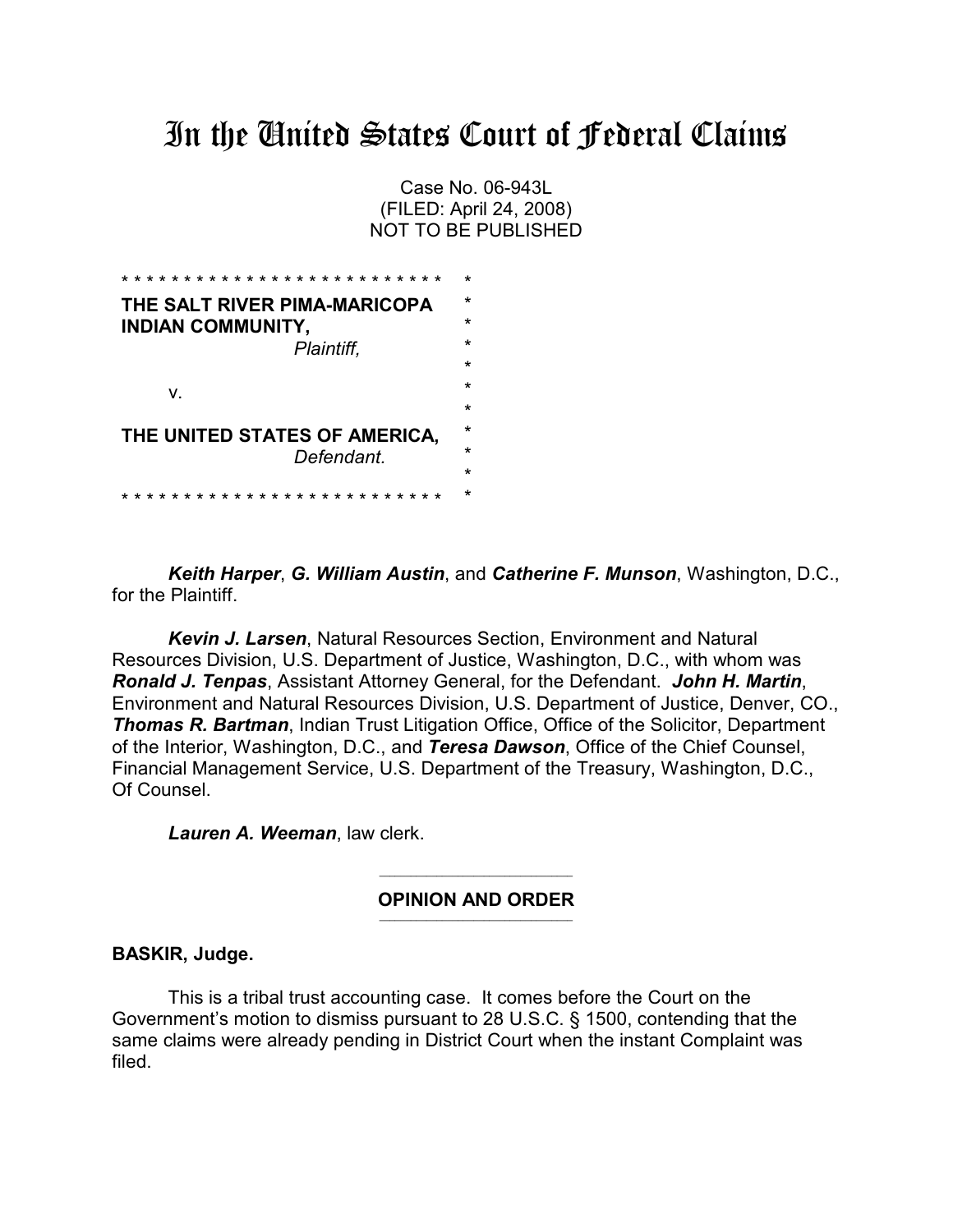# In the United States Court of Federal Claims

Case No. 06-943L (FILED: April 24, 2008) NOT TO BE PUBLISHED

| THE SALT RIVER PIMA-MARICOPA  | $\star$ |
|-------------------------------|---------|
| <b>INDIAN COMMUNITY,</b>      | $\star$ |
| Plaintiff.                    | $\star$ |
|                               | $\star$ |
| V.                            | $\star$ |
|                               | $\star$ |
| THE UNITED STATES OF AMERICA, | $\star$ |
| Defendant.                    | $\star$ |
|                               | $\star$ |
| $\star$                       |         |

*Keith Harper*, *G. William Austin*, and *Catherine F. Munson*, Washington, D.C., for the Plaintiff.

*Kevin J. Larsen*, Natural Resources Section, Environment and Natural Resources Division, U.S. Department of Justice, Washington, D.C., with whom was *Ronald J. Tenpas*, Assistant Attorney General, for the Defendant. *John H. Martin*, Environment and Natural Resources Division, U.S. Department of Justice, Denver, CO., **Thomas R. Bartman, Indian Trust Litigation Office, Office of the Solicitor, Department** of the Interior, Washington, D.C., and *Teresa Dawson*, Office of the Chief Counsel, Financial Management Service, U.S. Department of the Treasury, Washington, D.C., Of Counsel.

*Lauren A. Weeman*, law clerk.

 $\mathcal{L}_\text{max}$  and  $\mathcal{L}_\text{max}$  and  $\mathcal{L}_\text{max}$  and  $\mathcal{L}_\text{max}$ **OPINION AND ORDER**  $\mathcal{L}_\text{max}$  and  $\mathcal{L}_\text{max}$  and  $\mathcal{L}_\text{max}$  and  $\mathcal{L}_\text{max}$ 

### **BASKIR, Judge.**

This is a tribal trust accounting case. It comes before the Court on the Government's motion to dismiss pursuant to 28 U.S.C. § 1500, contending that the same claims were already pending in District Court when the instant Complaint was filed.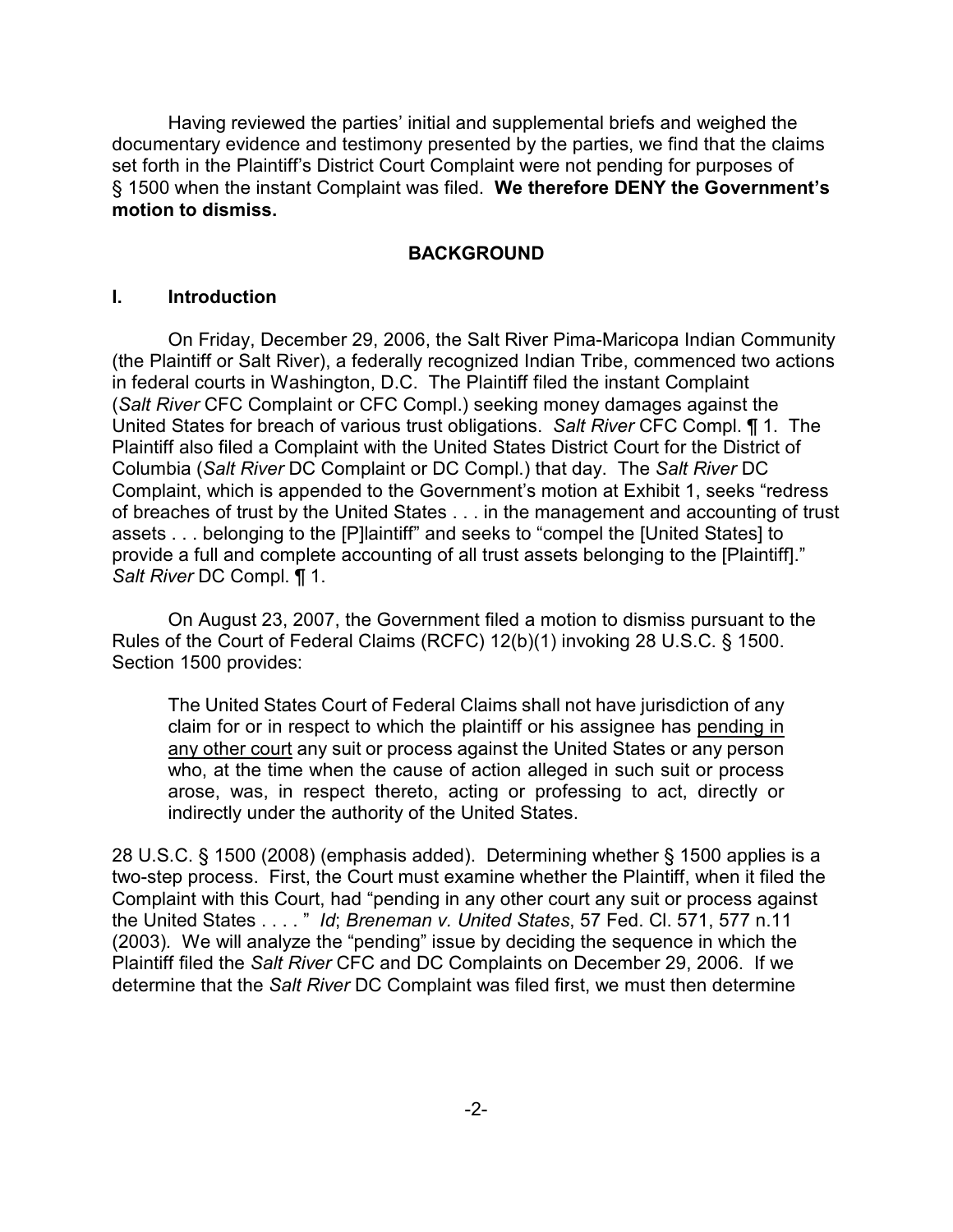Having reviewed the parties' initial and supplemental briefs and weighed the documentary evidence and testimony presented by the parties, we find that the claims set forth in the Plaintiff's District Court Complaint were not pending for purposes of § 1500 when the instant Complaint was filed. **We therefore DENY the Government's motion to dismiss.**

### **BACKGROUND**

#### **I. Introduction**

On Friday, December 29, 2006, the Salt River Pima-Maricopa Indian Community (the Plaintiff or Salt River), a federally recognized Indian Tribe, commenced two actions in federal courts in Washington, D.C. The Plaintiff filed the instant Complaint (*Salt River* CFC Complaint or CFC Compl.) seeking money damages against the United States for breach of various trust obligations. *Salt River* CFC Compl. ¶ 1. The Plaintiff also filed a Complaint with the United States District Court for the District of Columbia (*Salt River* DC Complaint or DC Compl.) that day. The *Salt River* DC Complaint, which is appended to the Government's motion at Exhibit 1, seeks "redress of breaches of trust by the United States . . . in the management and accounting of trust assets . . . belonging to the [P]laintiff" and seeks to "compel the [United States] to provide a full and complete accounting of all trust assets belonging to the [Plaintiff]." *Salt River* DC Compl. ¶ 1.

On August 23, 2007, the Government filed a motion to dismiss pursuant to the Rules of the Court of Federal Claims (RCFC) 12(b)(1) invoking 28 U.S.C. § 1500. Section 1500 provides:

The United States Court of Federal Claims shall not have jurisdiction of any claim for or in respect to which the plaintiff or his assignee has pending in any other court any suit or process against the United States or any person who, at the time when the cause of action alleged in such suit or process arose, was, in respect thereto, acting or professing to act, directly or indirectly under the authority of the United States.

28 U.S.C. § 1500 (2008) (emphasis added). Determining whether § 1500 applies is a two-step process. First, the Court must examine whether the Plaintiff, when it filed the Complaint with this Court, had "pending in any other court any suit or process against the United States . . . . " *Id*; *Breneman v. United States*, 57 Fed. Cl. 571, 577 n.11 (2003)*.* We will analyze the "pending" issue by deciding the sequence in which the Plaintiff filed the *Salt River* CFC and DC Complaints on December 29, 2006. If we determine that the *Salt River* DC Complaint was filed first, we must then determine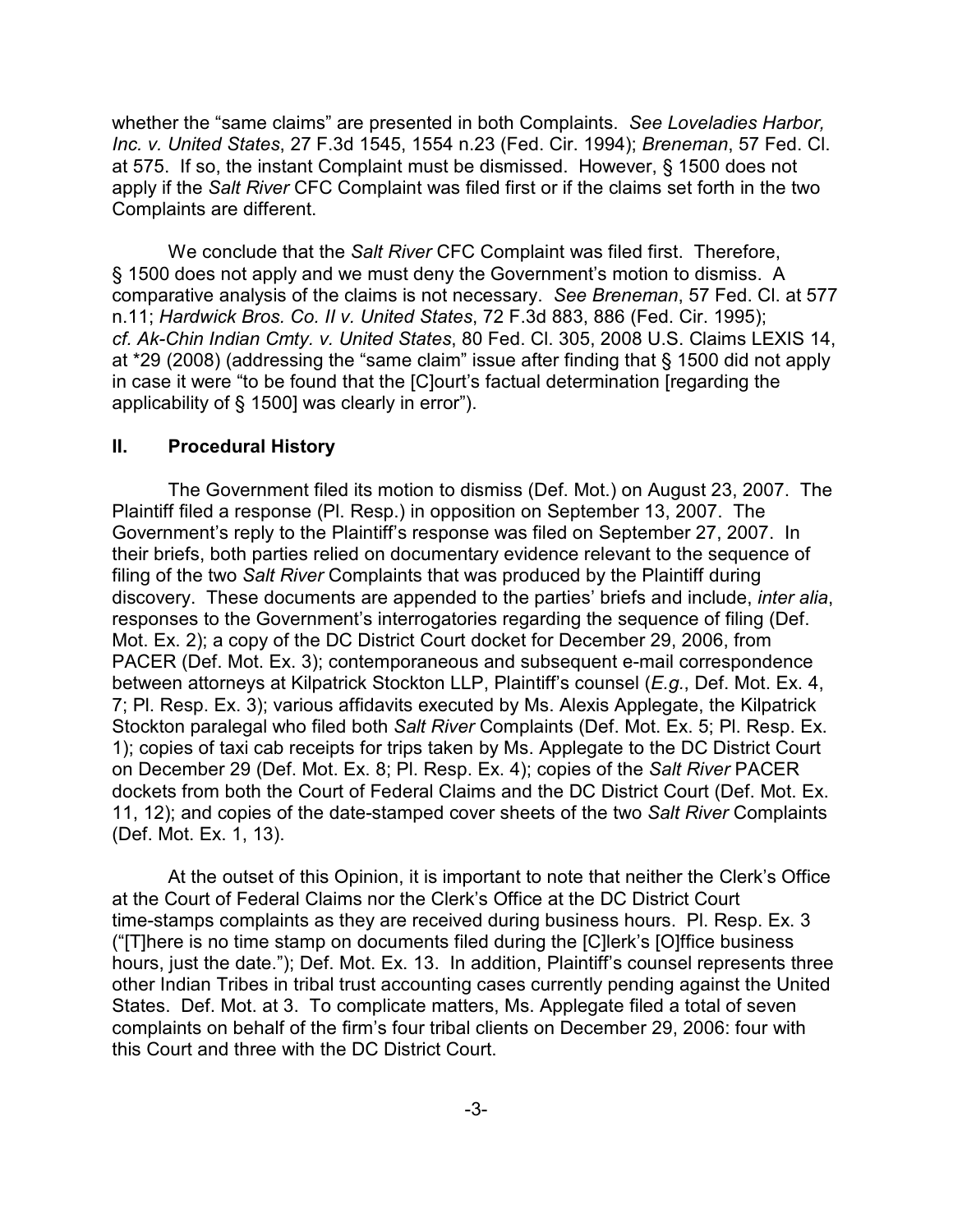whether the "same claims" are presented in both Complaints. *See Loveladies Harbor, Inc. v. United States*, 27 F.3d 1545, 1554 n.23 (Fed. Cir. 1994); *Breneman*, 57 Fed. Cl. at 575. If so, the instant Complaint must be dismissed. However, § 1500 does not apply if the *Salt River* CFC Complaint was filed first or if the claims set forth in the two Complaints are different.

We conclude that the *Salt River* CFC Complaint was filed first. Therefore, § 1500 does not apply and we must deny the Government's motion to dismiss. A comparative analysis of the claims is not necessary. *See Breneman*, 57 Fed. Cl. at 577 n.11; *Hardwick Bros. Co. II v. United States*, 72 F.3d 883, 886 (Fed. Cir. 1995); *cf. Ak-Chin Indian Cmty. v. United States*, 80 Fed. Cl. 305, 2008 U.S. Claims LEXIS 14, at \*29 (2008) (addressing the "same claim" issue after finding that § 1500 did not apply in case it were "to be found that the [C]ourt's factual determination [regarding the applicability of § 1500] was clearly in error").

### **II. Procedural History**

The Government filed its motion to dismiss (Def. Mot.) on August 23, 2007. The Plaintiff filed a response (Pl. Resp.) in opposition on September 13, 2007. The Government's reply to the Plaintiff's response was filed on September 27, 2007. In their briefs, both parties relied on documentary evidence relevant to the sequence of filing of the two *Salt River* Complaints that was produced by the Plaintiff during discovery. These documents are appended to the parties' briefs and include, *inter alia*, responses to the Government's interrogatories regarding the sequence of filing (Def. Mot. Ex. 2); a copy of the DC District Court docket for December 29, 2006, from PACER (Def. Mot. Ex. 3); contemporaneous and subsequent e-mail correspondence between attorneys at Kilpatrick Stockton LLP, Plaintiff's counsel (*E.g.*, Def. Mot. Ex. 4, 7; Pl. Resp. Ex. 3); various affidavits executed by Ms. Alexis Applegate, the Kilpatrick Stockton paralegal who filed both *Salt River* Complaints (Def. Mot. Ex. 5; Pl. Resp. Ex. 1); copies of taxi cab receipts for trips taken by Ms. Applegate to the DC District Court on December 29 (Def. Mot. Ex. 8; Pl. Resp. Ex. 4); copies of the *Salt River* PACER dockets from both the Court of Federal Claims and the DC District Court (Def. Mot. Ex. 11, 12); and copies of the date-stamped cover sheets of the two *Salt River* Complaints (Def. Mot. Ex. 1, 13).

At the outset of this Opinion, it is important to note that neither the Clerk's Office at the Court of Federal Claims nor the Clerk's Office at the DC District Court time-stamps complaints as they are received during business hours. Pl. Resp. Ex. 3 ("[T]here is no time stamp on documents filed during the [C]lerk's [O]ffice business hours, just the date."); Def. Mot. Ex. 13. In addition, Plaintiff's counsel represents three other Indian Tribes in tribal trust accounting cases currently pending against the United States. Def. Mot. at 3. To complicate matters, Ms. Applegate filed a total of seven complaints on behalf of the firm's four tribal clients on December 29, 2006: four with this Court and three with the DC District Court.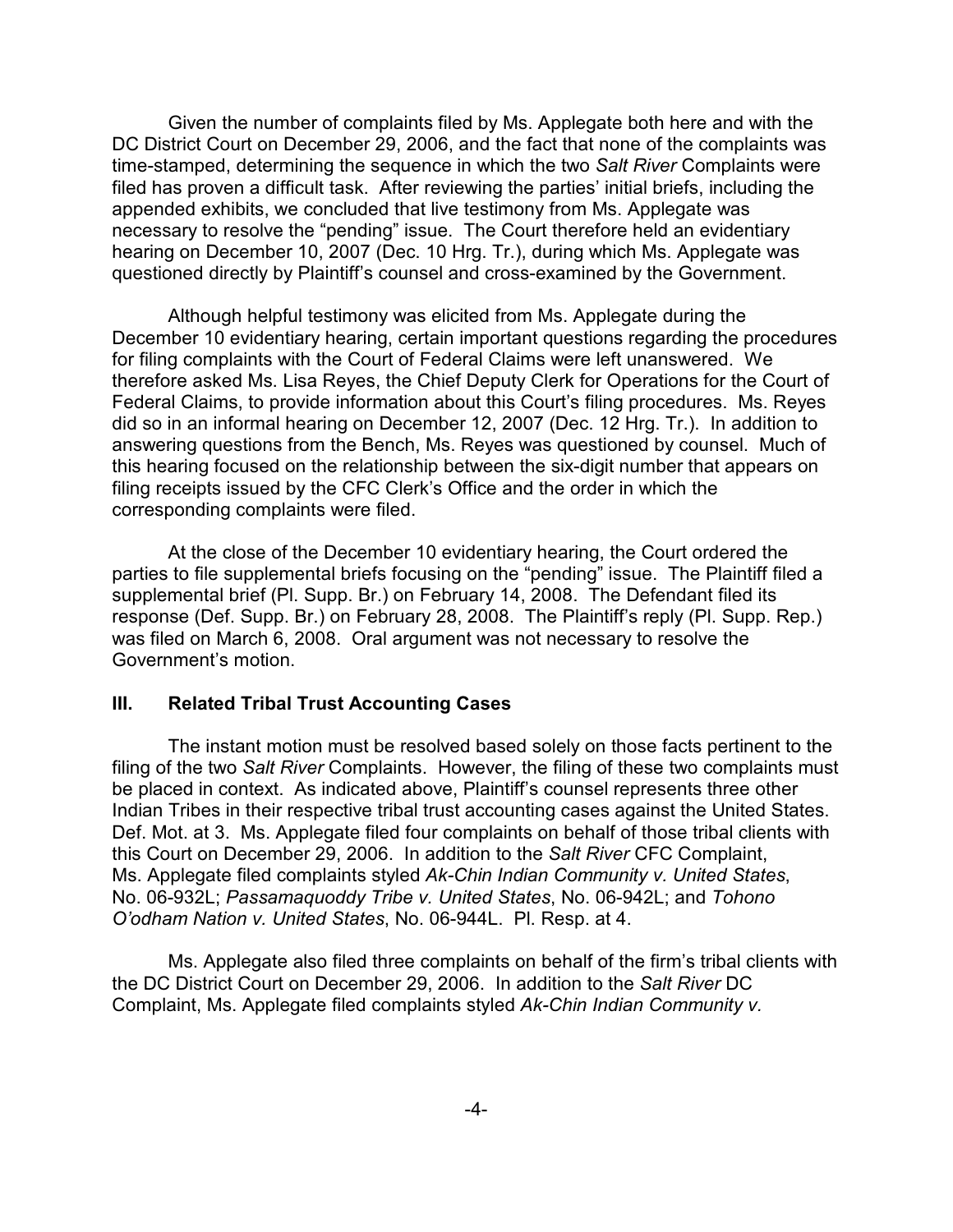Given the number of complaints filed by Ms. Applegate both here and with the DC District Court on December 29, 2006, and the fact that none of the complaints was time-stamped, determining the sequence in which the two *Salt River* Complaints were filed has proven a difficult task. After reviewing the parties' initial briefs, including the appended exhibits, we concluded that live testimony from Ms. Applegate was necessary to resolve the "pending" issue. The Court therefore held an evidentiary hearing on December 10, 2007 (Dec. 10 Hrg. Tr.), during which Ms. Applegate was questioned directly by Plaintiff's counsel and cross-examined by the Government.

Although helpful testimony was elicited from Ms. Applegate during the December 10 evidentiary hearing, certain important questions regarding the procedures for filing complaints with the Court of Federal Claims were left unanswered. We therefore asked Ms. Lisa Reyes, the Chief Deputy Clerk for Operations for the Court of Federal Claims, to provide information about this Court's filing procedures. Ms. Reyes did so in an informal hearing on December 12, 2007 (Dec. 12 Hrg. Tr.). In addition to answering questions from the Bench, Ms. Reyes was questioned by counsel. Much of this hearing focused on the relationship between the six-digit number that appears on filing receipts issued by the CFC Clerk's Office and the order in which the corresponding complaints were filed.

At the close of the December 10 evidentiary hearing, the Court ordered the parties to file supplemental briefs focusing on the "pending" issue. The Plaintiff filed a supplemental brief (Pl. Supp. Br.) on February 14, 2008. The Defendant filed its response (Def. Supp. Br.) on February 28, 2008. The Plaintiff's reply (Pl. Supp. Rep.) was filed on March 6, 2008. Oral argument was not necessary to resolve the Government's motion.

### **III. Related Tribal Trust Accounting Cases**

The instant motion must be resolved based solely on those facts pertinent to the filing of the two *Salt River* Complaints. However, the filing of these two complaints must be placed in context. As indicated above, Plaintiff's counsel represents three other Indian Tribes in their respective tribal trust accounting cases against the United States. Def. Mot. at 3. Ms. Applegate filed four complaints on behalf of those tribal clients with this Court on December 29, 2006. In addition to the *Salt River* CFC Complaint, Ms. Applegate filed complaints styled *Ak-Chin Indian Community v. United States*, No. 06-932L; *Passamaquoddy Tribe v. United States*, No. 06-942L; and *Tohono O'odham Nation v. United States*, No. 06-944L. Pl. Resp. at 4.

Ms. Applegate also filed three complaints on behalf of the firm's tribal clients with the DC District Court on December 29, 2006. In addition to the *Salt River* DC Complaint, Ms. Applegate filed complaints styled *Ak-Chin Indian Community v.*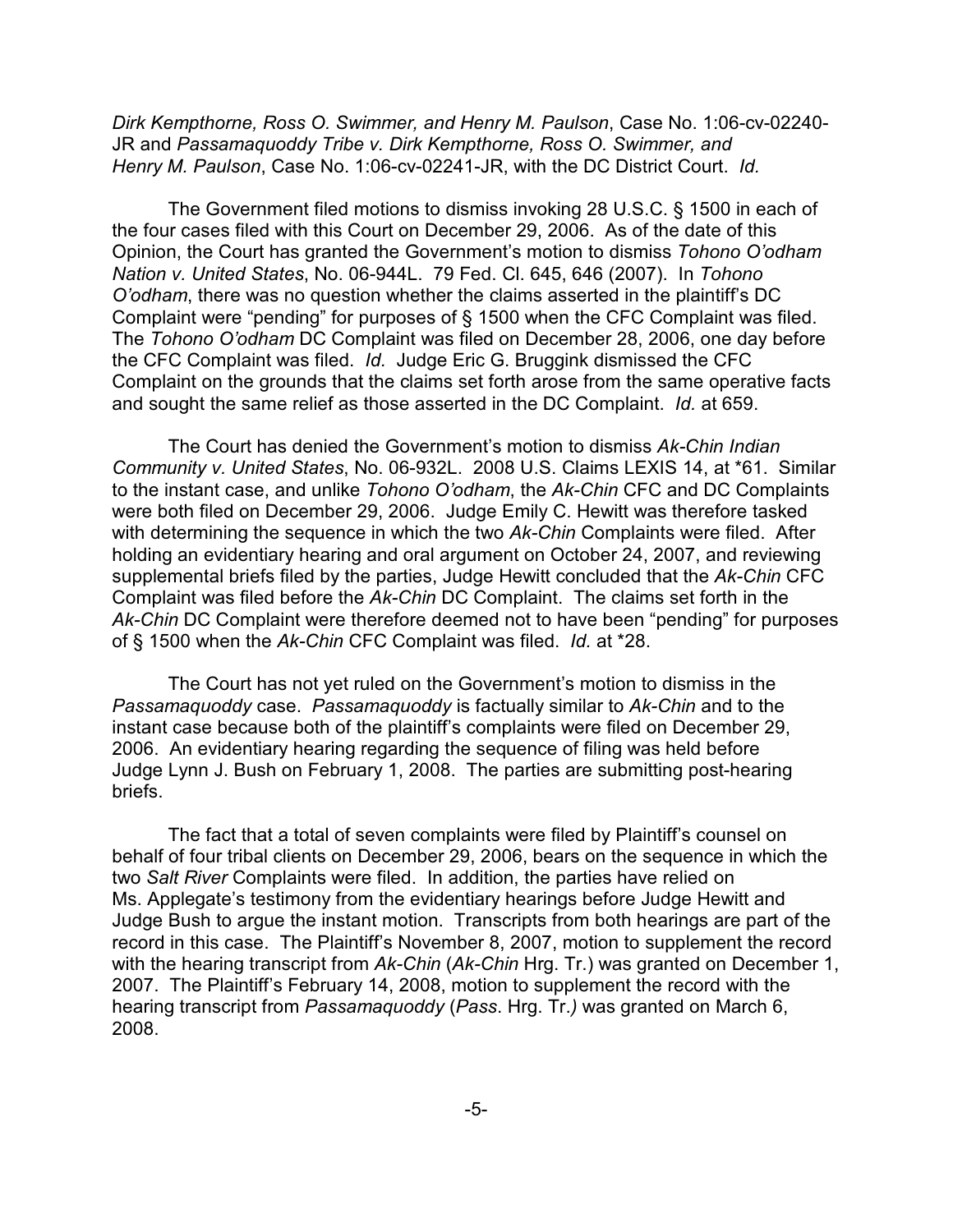*Dirk Kempthorne, Ross O. Swimmer, and Henry M. Paulson*, Case No. 1:06-cv-02240- JR and *Passamaquoddy Tribe v. Dirk Kempthorne, Ross O. Swimmer, and Henry M. Paulson*, Case No. 1:06-cv-02241-JR, with the DC District Court. *Id.*

The Government filed motions to dismiss invoking 28 U.S.C. § 1500 in each of the four cases filed with this Court on December 29, 2006. As of the date of this Opinion, the Court has granted the Government's motion to dismiss *Tohono O'odham Nation v. United States*, No. 06-944L. 79 Fed. Cl. 645, 646 (2007). In *Tohono O'odham*, there was no question whether the claims asserted in the plaintiff's DC Complaint were "pending" for purposes of § 1500 when the CFC Complaint was filed. The *Tohono O'odham* DC Complaint was filed on December 28, 2006, one day before the CFC Complaint was filed. *Id.* Judge Eric G. Bruggink dismissed the CFC Complaint on the grounds that the claims set forth arose from the same operative facts and sought the same relief as those asserted in the DC Complaint. *Id.* at 659.

The Court has denied the Government's motion to dismiss *Ak-Chin Indian Community v. United States*, No. 06-932L. 2008 U.S. Claims LEXIS 14, at \*61. Similar to the instant case, and unlike *Tohono O'odham*, the *Ak-Chin* CFC and DC Complaints were both filed on December 29, 2006. Judge Emily C. Hewitt was therefore tasked with determining the sequence in which the two *Ak-Chin* Complaints were filed. After holding an evidentiary hearing and oral argument on October 24, 2007, and reviewing supplemental briefs filed by the parties, Judge Hewitt concluded that the *Ak-Chin* CFC Complaint was filed before the *Ak-Chin* DC Complaint. The claims set forth in the *Ak-Chin* DC Complaint were therefore deemed not to have been "pending" for purposes of § 1500 when the *Ak-Chin* CFC Complaint was filed. *Id.* at \*28.

The Court has not yet ruled on the Government's motion to dismiss in the *Passamaquoddy* case. *Passamaquoddy* is factually similar to *Ak-Chin* and to the instant case because both of the plaintiff's complaints were filed on December 29, 2006. An evidentiary hearing regarding the sequence of filing was held before Judge Lynn J. Bush on February 1, 2008. The parties are submitting post-hearing briefs.

The fact that a total of seven complaints were filed by Plaintiff's counsel on behalf of four tribal clients on December 29, 2006, bears on the sequence in which the two *Salt River* Complaints were filed. In addition, the parties have relied on Ms. Applegate's testimony from the evidentiary hearings before Judge Hewitt and Judge Bush to argue the instant motion. Transcripts from both hearings are part of the record in this case. The Plaintiff's November 8, 2007, motion to supplement the record with the hearing transcript from *Ak-Chin* (*Ak-Chin* Hrg. Tr.) was granted on December 1, 2007. The Plaintiff's February 14, 2008, motion to supplement the record with the hearing transcript from *Passamaquoddy* (*Pass*. Hrg. Tr.*)* was granted on March 6, 2008.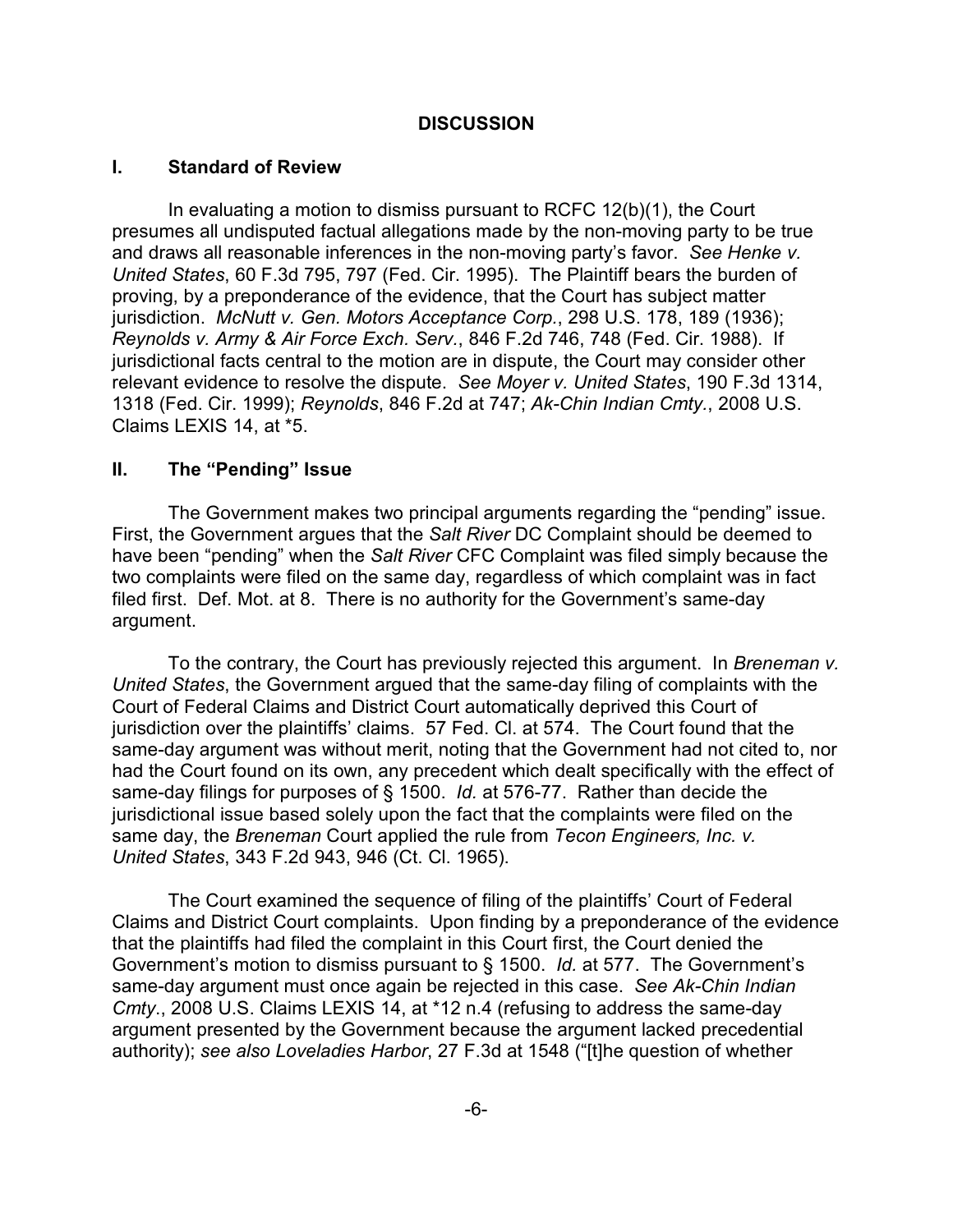# **DISCUSSION**

### **I. Standard of Review**

In evaluating a motion to dismiss pursuant to RCFC 12(b)(1), the Court presumes all undisputed factual allegations made by the non-moving party to be true and draws all reasonable inferences in the non-moving party's favor. *See Henke v. United States*, 60 F.3d 795, 797 (Fed. Cir. 1995). The Plaintiff bears the burden of proving, by a preponderance of the evidence, that the Court has subject matter jurisdiction. *McNutt v. Gen. Motors Acceptance Corp.*, 298 U.S. 178, 189 (1936); *Reynolds v. Army & Air Force Exch. Serv.*, 846 F.2d 746, 748 (Fed. Cir. 1988). If jurisdictional facts central to the motion are in dispute, the Court may consider other relevant evidence to resolve the dispute. *See Moyer v. United States*, 190 F.3d 1314, 1318 (Fed. Cir. 1999); *Reynolds*, 846 F.2d at 747; *Ak-Chin Indian Cmty.*, 2008 U.S. Claims LEXIS 14, at \*5.

### **II. The "Pending" Issue**

The Government makes two principal arguments regarding the "pending" issue. First, the Government argues that the *Salt River* DC Complaint should be deemed to have been "pending" when the *Salt River* CFC Complaint was filed simply because the two complaints were filed on the same day, regardless of which complaint was in fact filed first. Def. Mot. at 8. There is no authority for the Government's same-day argument.

To the contrary, the Court has previously rejected this argument. In *Breneman v. United States*, the Government argued that the same-day filing of complaints with the Court of Federal Claims and District Court automatically deprived this Court of jurisdiction over the plaintiffs' claims. 57 Fed. Cl. at 574. The Court found that the same-day argument was without merit, noting that the Government had not cited to, nor had the Court found on its own, any precedent which dealt specifically with the effect of same-day filings for purposes of § 1500. *Id.* at 576-77. Rather than decide the jurisdictional issue based solely upon the fact that the complaints were filed on the same day, the *Breneman* Court applied the rule from *Tecon Engineers, Inc. v. United States*, 343 F.2d 943, 946 (Ct. Cl. 1965).

The Court examined the sequence of filing of the plaintiffs' Court of Federal Claims and District Court complaints. Upon finding by a preponderance of the evidence that the plaintiffs had filed the complaint in this Court first, the Court denied the Government's motion to dismiss pursuant to § 1500. *Id.* at 577. The Government's same-day argument must once again be rejected in this case. *See Ak-Chin Indian Cmty*., 2008 U.S. Claims LEXIS 14, at \*12 n.4 (refusing to address the same-day argument presented by the Government because the argument lacked precedential authority); *see also Loveladies Harbor*, 27 F.3d at 1548 ("[t]he question of whether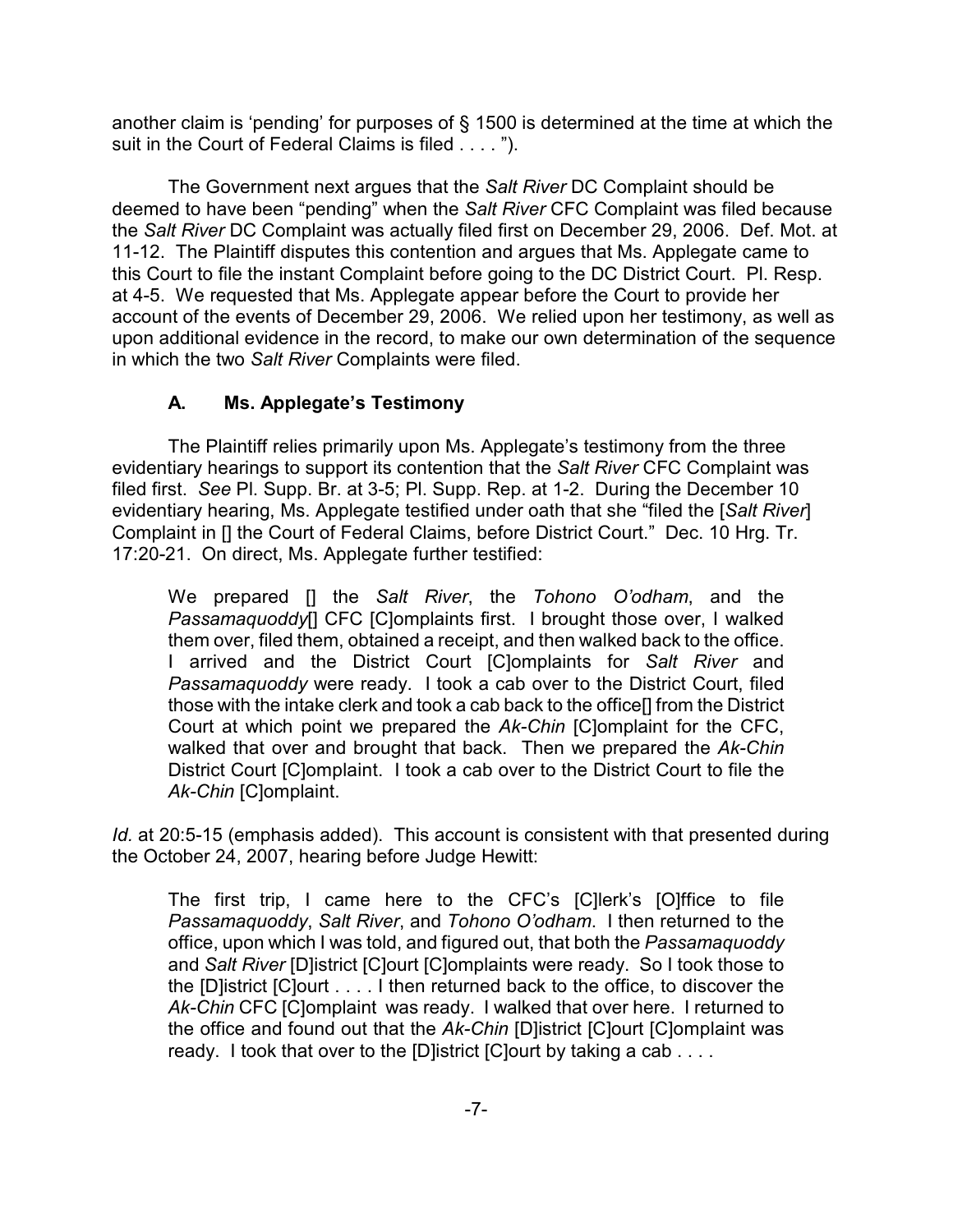another claim is 'pending' for purposes of § 1500 is determined at the time at which the suit in the Court of Federal Claims is filed . . . . ").

The Government next argues that the *Salt River* DC Complaint should be deemed to have been "pending" when the *Salt River* CFC Complaint was filed because the *Salt River* DC Complaint was actually filed first on December 29, 2006. Def. Mot. at 11-12. The Plaintiff disputes this contention and argues that Ms. Applegate came to this Court to file the instant Complaint before going to the DC District Court. Pl. Resp. at 4-5. We requested that Ms. Applegate appear before the Court to provide her account of the events of December 29, 2006. We relied upon her testimony, as well as upon additional evidence in the record, to make our own determination of the sequence in which the two *Salt River* Complaints were filed.

# **A. Ms. Applegate's Testimony**

The Plaintiff relies primarily upon Ms. Applegate's testimony from the three evidentiary hearings to support its contention that the *Salt River* CFC Complaint was filed first. *See* Pl. Supp. Br. at 3-5; Pl. Supp. Rep. at 1-2. During the December 10 evidentiary hearing, Ms. Applegate testified under oath that she "filed the [*Salt River*] Complaint in [] the Court of Federal Claims, before District Court." Dec. 10 Hrg. Tr. 17:20-21. On direct, Ms. Applegate further testified:

We prepared [] the *Salt River*, the *Tohono O'odham*, and the *Passamaquoddy*[] CFC [C]omplaints first. I brought those over, I walked them over, filed them, obtained a receipt, and then walked back to the office. I arrived and the District Court [C]omplaints for *Salt River* and *Passamaquoddy* were ready. I took a cab over to the District Court, filed those with the intake clerk and took a cab back to the office[] from the District Court at which point we prepared the *Ak-Chin* [C]omplaint for the CFC, walked that over and brought that back. Then we prepared the *Ak-Chin* District Court [C]omplaint. I took a cab over to the District Court to file the *Ak-Chin* [C]omplaint.

*Id.* at 20:5-15 (emphasis added). This account is consistent with that presented during the October 24, 2007, hearing before Judge Hewitt:

The first trip, I came here to the CFC's [C]lerk's [O]ffice to file *Passamaquoddy*, *Salt River*, and *Tohono O'odham*. I then returned to the office, upon which I was told, and figured out, that both the *Passamaquoddy* and *Salt River* [D]istrict [C]ourt [C]omplaints were ready. So I took those to the [D]istrict [C]ourt . . . . I then returned back to the office, to discover the *Ak-Chin* CFC [C]omplaint was ready. I walked that over here. I returned to the office and found out that the *Ak-Chin* [D]istrict [C]ourt [C]omplaint was ready. I took that over to the [D]istrict [C]ourt by taking a cab . . . .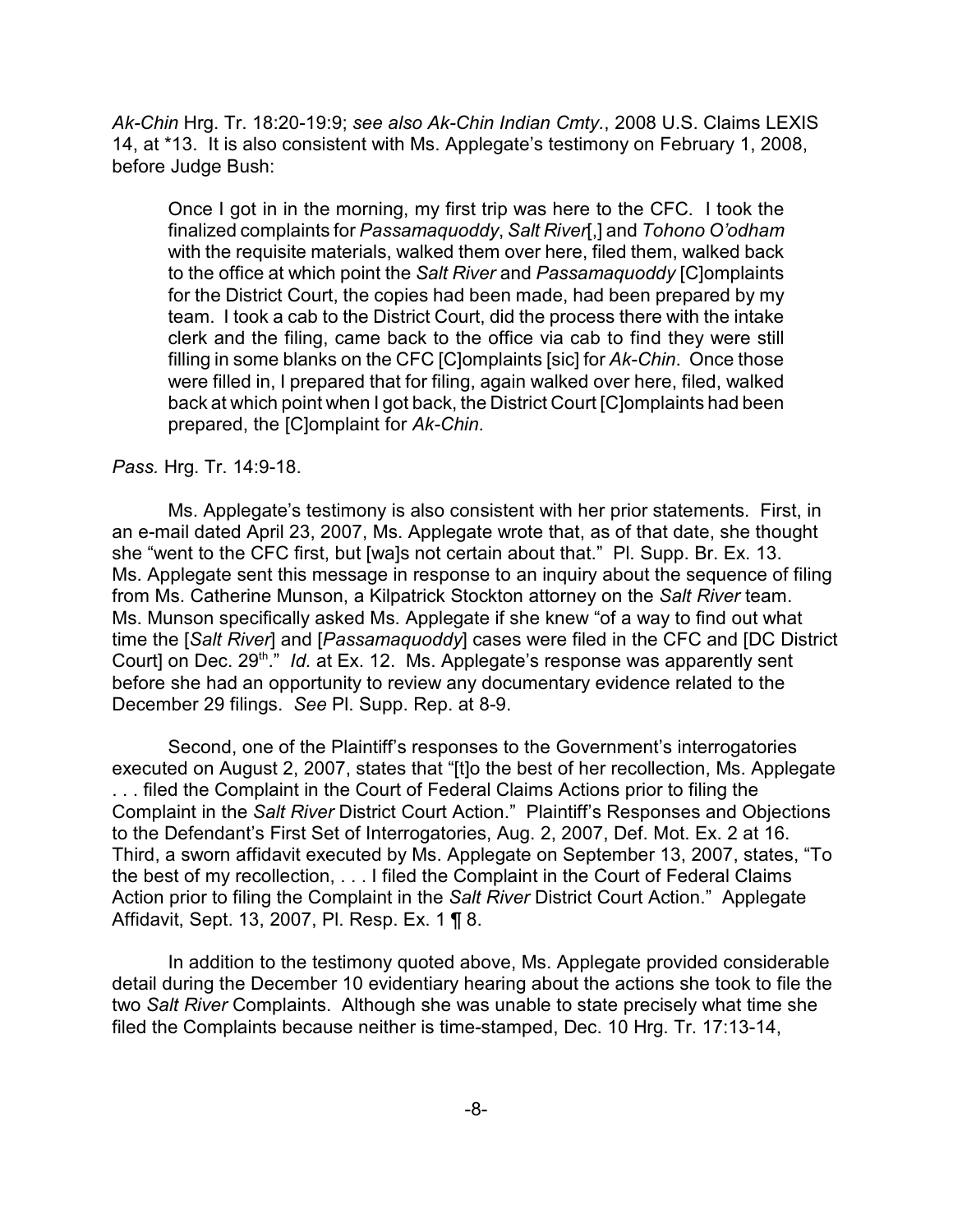*Ak-Chin* Hrg. Tr. 18:20-19:9; *see also Ak-Chin Indian Cmty.*, 2008 U.S. Claims LEXIS 14, at \*13. It is also consistent with Ms. Applegate's testimony on February 1, 2008, before Judge Bush:

Once I got in in the morning, my first trip was here to the CFC. I took the finalized complaints for *Passamaquoddy*, *Salt River*[,] and *Tohono O'odham* with the requisite materials, walked them over here, filed them, walked back to the office at which point the *Salt River* and *Passamaquoddy* [C]omplaints for the District Court, the copies had been made, had been prepared by my team. I took a cab to the District Court, did the process there with the intake clerk and the filing, came back to the office via cab to find they were still filling in some blanks on the CFC [C]omplaints [sic] for *Ak-Chin*. Once those were filled in, I prepared that for filing, again walked over here, filed, walked back at which point when I got back, the District Court [C]omplaints had been prepared, the [C]omplaint for *Ak-Chin*.

#### *Pass.* Hrg. Tr. 14:9-18.

Ms. Applegate's testimony is also consistent with her prior statements. First, in an e-mail dated April 23, 2007, Ms. Applegate wrote that, as of that date, she thought she "went to the CFC first, but [wa]s not certain about that." Pl. Supp. Br. Ex. 13. Ms. Applegate sent this message in response to an inquiry about the sequence of filing from Ms. Catherine Munson, a Kilpatrick Stockton attorney on the *Salt River* team. Ms. Munson specifically asked Ms. Applegate if she knew "of a way to find out what time the [*Salt River*] and [*Passamaquoddy*] cases were filed in the CFC and [DC District Court] on Dec. 29<sup>th</sup>." *Id.* at Ex. 12. Ms. Applegate's response was apparently sent before she had an opportunity to review any documentary evidence related to the December 29 filings. *See* Pl. Supp. Rep. at 8-9.

Second, one of the Plaintiff's responses to the Government's interrogatories executed on August 2, 2007, states that "[t]o the best of her recollection, Ms. Applegate . . . filed the Complaint in the Court of Federal Claims Actions prior to filing the Complaint in the *Salt River* District Court Action." Plaintiff's Responses and Objections to the Defendant's First Set of Interrogatories, Aug. 2, 2007, Def. Mot. Ex. 2 at 16. Third, a sworn affidavit executed by Ms. Applegate on September 13, 2007, states, "To the best of my recollection, . . . I filed the Complaint in the Court of Federal Claims Action prior to filing the Complaint in the *Salt River* District Court Action." Applegate Affidavit, Sept. 13, 2007, Pl. Resp. Ex. 1 ¶ 8.

In addition to the testimony quoted above, Ms. Applegate provided considerable detail during the December 10 evidentiary hearing about the actions she took to file the two *Salt River* Complaints. Although she was unable to state precisely what time she filed the Complaints because neither is time-stamped, Dec. 10 Hrg. Tr. 17:13-14,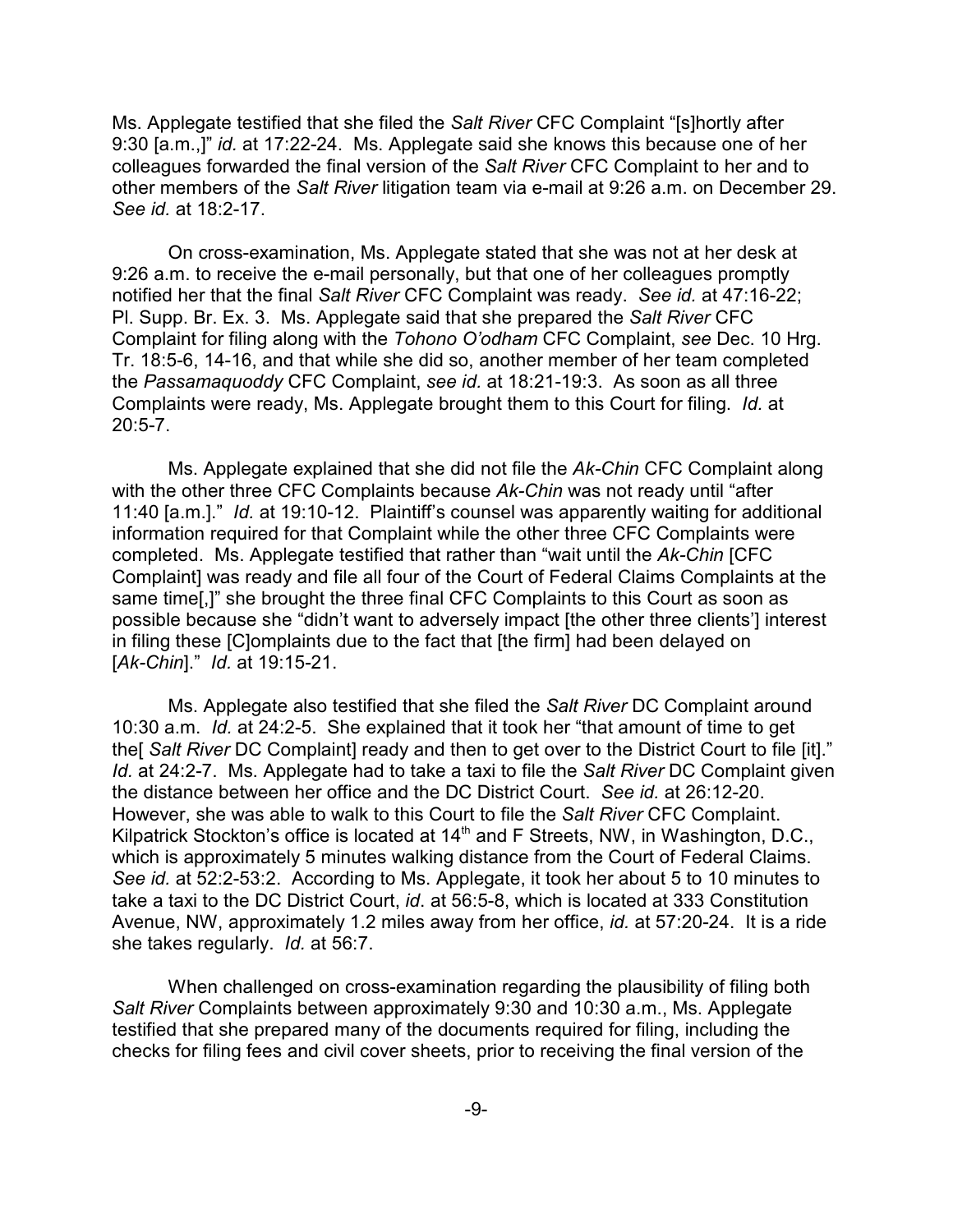Ms. Applegate testified that she filed the *Salt River* CFC Complaint "[s]hortly after 9:30 [a.m.,]" *id.* at 17:22-24. Ms. Applegate said she knows this because one of her colleagues forwarded the final version of the *Salt River* CFC Complaint to her and to other members of the *Salt River* litigation team via e-mail at 9:26 a.m. on December 29. *See id.* at 18:2-17.

On cross-examination, Ms. Applegate stated that she was not at her desk at 9:26 a.m. to receive the e-mail personally, but that one of her colleagues promptly notified her that the final *Salt River* CFC Complaint was ready. *See id.* at 47:16-22; Pl. Supp. Br. Ex. 3. Ms. Applegate said that she prepared the *Salt River* CFC Complaint for filing along with the *Tohono O'odham* CFC Complaint, *see* Dec. 10 Hrg. Tr. 18:5-6, 14-16, and that while she did so, another member of her team completed the *Passamaquoddy* CFC Complaint, *see id.* at 18:21-19:3. As soon as all three Complaints were ready, Ms. Applegate brought them to this Court for filing. *Id.* at 20:5-7.

Ms. Applegate explained that she did not file the *Ak-Chin* CFC Complaint along with the other three CFC Complaints because *Ak-Chin* was not ready until "after 11:40 [a.m.]." *Id.* at 19:10-12. Plaintiff's counsel was apparently waiting for additional information required for that Complaint while the other three CFC Complaints were completed. Ms. Applegate testified that rather than "wait until the *Ak-Chin* [CFC Complaint] was ready and file all four of the Court of Federal Claims Complaints at the same time[,]" she brought the three final CFC Complaints to this Court as soon as possible because she "didn't want to adversely impact [the other three clients'] interest in filing these [C]omplaints due to the fact that [the firm] had been delayed on [*Ak-Chin*]." *Id.* at 19:15-21.

Ms. Applegate also testified that she filed the *Salt River* DC Complaint around 10:30 a.m. *Id.* at 24:2-5. She explained that it took her "that amount of time to get the[ *Salt River* DC Complaint] ready and then to get over to the District Court to file [it]." *Id.* at 24:2-7. Ms. Applegate had to take a taxi to file the *Salt River* DC Complaint given the distance between her office and the DC District Court. *See id.* at 26:12-20. However, she was able to walk to this Court to file the *Salt River* CFC Complaint. Kilpatrick Stockton's office is located at 14<sup>th</sup> and F Streets, NW, in Washington, D.C., which is approximately 5 minutes walking distance from the Court of Federal Claims. *See id.* at 52:2-53:2. According to Ms. Applegate, it took her about 5 to 10 minutes to take a taxi to the DC District Court, *id*. at 56:5-8, which is located at 333 Constitution Avenue, NW, approximately 1.2 miles away from her office, *id.* at 57:20-24. It is a ride she takes regularly. *Id.* at 56:7.

When challenged on cross-examination regarding the plausibility of filing both *Salt River* Complaints between approximately 9:30 and 10:30 a.m., Ms. Applegate testified that she prepared many of the documents required for filing, including the checks for filing fees and civil cover sheets, prior to receiving the final version of the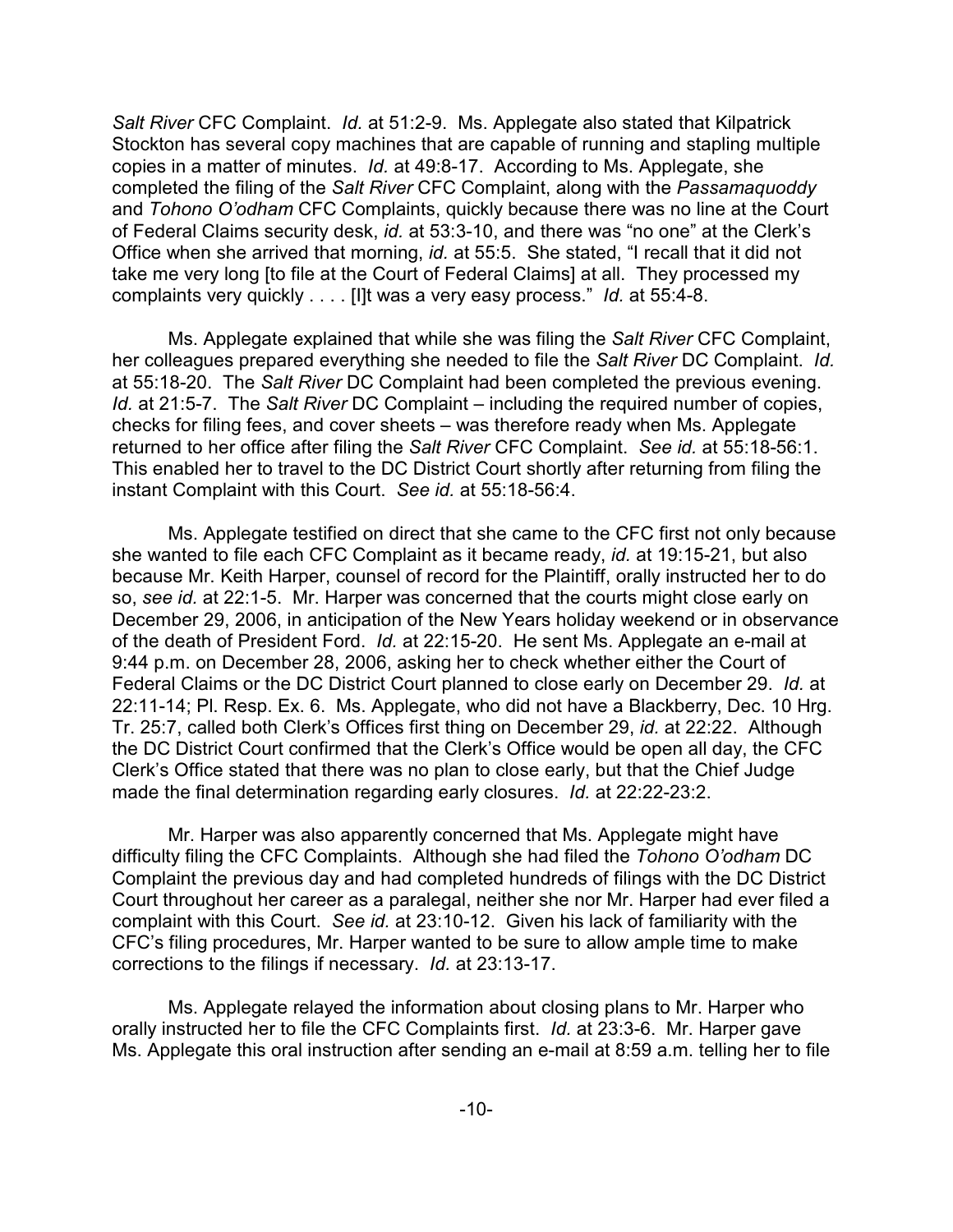*Salt River* CFC Complaint. *Id.* at 51:2-9. Ms. Applegate also stated that Kilpatrick Stockton has several copy machines that are capable of running and stapling multiple copies in a matter of minutes. *Id.* at 49:8-17. According to Ms. Applegate, she completed the filing of the *Salt River* CFC Complaint, along with the *Passamaquoddy* and *Tohono O'odham* CFC Complaints, quickly because there was no line at the Court of Federal Claims security desk, *id.* at 53:3-10, and there was "no one" at the Clerk's Office when she arrived that morning, *id.* at 55:5. She stated, "I recall that it did not take me very long [to file at the Court of Federal Claims] at all. They processed my complaints very quickly . . . . [I]t was a very easy process." *Id.* at 55:4-8.

Ms. Applegate explained that while she was filing the *Salt River* CFC Complaint, her colleagues prepared everything she needed to file the *Salt River* DC Complaint. *Id.* at 55:18-20. The *Salt River* DC Complaint had been completed the previous evening. *Id.* at 21:5-7. The *Salt River* DC Complaint – including the required number of copies, checks for filing fees, and cover sheets – was therefore ready when Ms. Applegate returned to her office after filing the *Salt River* CFC Complaint. *See id.* at 55:18-56:1. This enabled her to travel to the DC District Court shortly after returning from filing the instant Complaint with this Court. *See id.* at 55:18-56:4.

Ms. Applegate testified on direct that she came to the CFC first not only because she wanted to file each CFC Complaint as it became ready, *id.* at 19:15-21, but also because Mr. Keith Harper, counsel of record for the Plaintiff, orally instructed her to do so, *see id.* at 22:1-5. Mr. Harper was concerned that the courts might close early on December 29, 2006, in anticipation of the New Years holiday weekend or in observance of the death of President Ford. *Id.* at 22:15-20. He sent Ms. Applegate an e-mail at 9:44 p.m. on December 28, 2006, asking her to check whether either the Court of Federal Claims or the DC District Court planned to close early on December 29. *Id.* at 22:11-14; Pl. Resp. Ex. 6. Ms. Applegate, who did not have a Blackberry, Dec. 10 Hrg. Tr. 25:7, called both Clerk's Offices first thing on December 29, *id.* at 22:22. Although the DC District Court confirmed that the Clerk's Office would be open all day, the CFC Clerk's Office stated that there was no plan to close early, but that the Chief Judge made the final determination regarding early closures. *Id.* at 22:22-23:2.

Mr. Harper was also apparently concerned that Ms. Applegate might have difficulty filing the CFC Complaints. Although she had filed the *Tohono O'odham* DC Complaint the previous day and had completed hundreds of filings with the DC District Court throughout her career as a paralegal, neither she nor Mr. Harper had ever filed a complaint with this Court. *See id.* at 23:10-12. Given his lack of familiarity with the CFC's filing procedures, Mr. Harper wanted to be sure to allow ample time to make corrections to the filings if necessary. *Id.* at 23:13-17.

Ms. Applegate relayed the information about closing plans to Mr. Harper who orally instructed her to file the CFC Complaints first. *Id.* at 23:3-6. Mr. Harper gave Ms. Applegate this oral instruction after sending an e-mail at 8:59 a.m. telling her to file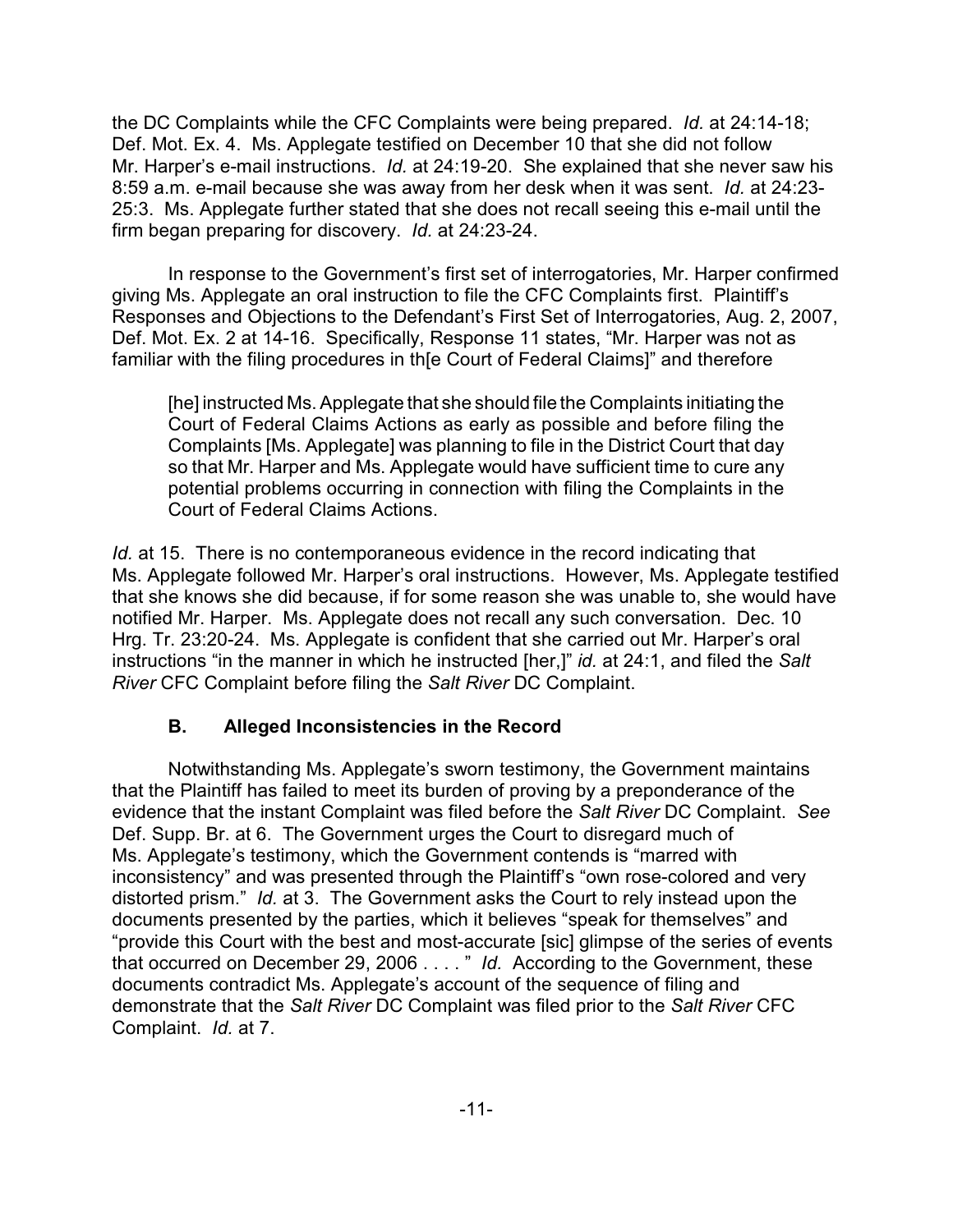the DC Complaints while the CFC Complaints were being prepared. *Id.* at 24:14-18; Def. Mot. Ex. 4. Ms. Applegate testified on December 10 that she did not follow Mr. Harper's e-mail instructions. *Id.* at 24:19-20. She explained that she never saw his 8:59 a.m. e-mail because she was away from her desk when it was sent. *Id.* at 24:23- 25:3. Ms. Applegate further stated that she does not recall seeing this e-mail until the firm began preparing for discovery. *Id.* at 24:23-24.

In response to the Government's first set of interrogatories, Mr. Harper confirmed giving Ms. Applegate an oral instruction to file the CFC Complaints first. Plaintiff's Responses and Objections to the Defendant's First Set of Interrogatories, Aug. 2, 2007, Def. Mot. Ex. 2 at 14-16. Specifically, Response 11 states, "Mr. Harper was not as familiar with the filing procedures in th[e Court of Federal Claims]" and therefore

[he] instructed Ms. Applegate that she should file the Complaints initiating the Court of Federal Claims Actions as early as possible and before filing the Complaints [Ms. Applegate] was planning to file in the District Court that day so that Mr. Harper and Ms. Applegate would have sufficient time to cure any potential problems occurring in connection with filing the Complaints in the Court of Federal Claims Actions.

*Id.* at 15.There is no contemporaneous evidence in the record indicating that Ms. Applegate followed Mr. Harper's oral instructions. However, Ms. Applegate testified that she knows she did because, if for some reason she was unable to, she would have notified Mr. Harper. Ms. Applegate does not recall any such conversation. Dec. 10 Hrg. Tr. 23:20-24. Ms. Applegate is confident that she carried out Mr. Harper's oral instructions "in the manner in which he instructed [her,]" *id.* at 24:1, and filed the *Salt River* CFC Complaint before filing the *Salt River* DC Complaint.

# **B. Alleged Inconsistencies in the Record**

Notwithstanding Ms. Applegate's sworn testimony, the Government maintains that the Plaintiff has failed to meet its burden of proving by a preponderance of the evidence that the instant Complaint was filed before the *Salt River* DC Complaint. *See* Def. Supp. Br. at 6. The Government urges the Court to disregard much of Ms. Applegate's testimony, which the Government contends is "marred with inconsistency" and was presented through the Plaintiff's "own rose-colored and very distorted prism." *Id.* at 3. The Government asks the Court to rely instead upon the documents presented by the parties, which it believes "speak for themselves" and "provide this Court with the best and most-accurate [sic] glimpse of the series of events that occurred on December 29, 2006 . . . . " *Id.* According to the Government, these documents contradict Ms. Applegate's account of the sequence of filing and demonstrate that the *Salt River* DC Complaint was filed prior to the *Salt River* CFC Complaint. *Id.* at 7.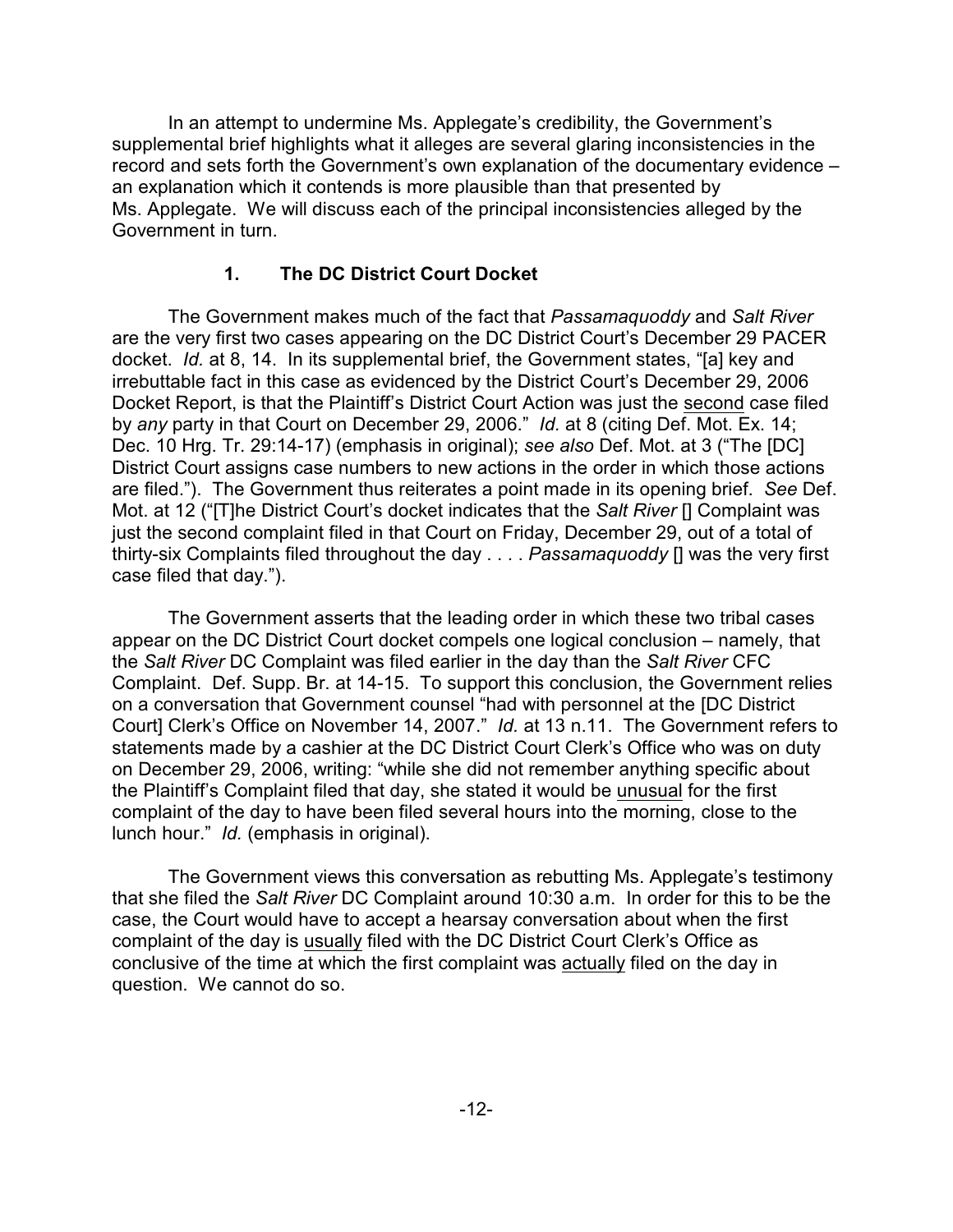In an attempt to undermine Ms. Applegate's credibility, the Government's supplemental brief highlights what it alleges are several glaring inconsistencies in the record and sets forth the Government's own explanation of the documentary evidence – an explanation which it contends is more plausible than that presented by Ms. Applegate. We will discuss each of the principal inconsistencies alleged by the Government in turn.

# **1. The DC District Court Docket**

The Government makes much of the fact that *Passamaquoddy* and *Salt River* are the very first two cases appearing on the DC District Court's December 29 PACER docket. *Id.* at 8, 14. In its supplemental brief, the Government states, "[a] key and irrebuttable fact in this case as evidenced by the District Court's December 29, 2006 Docket Report, is that the Plaintiff's District Court Action was just the second case filed by *any* party in that Court on December 29, 2006." *Id.* at 8 (citing Def. Mot. Ex. 14; Dec. 10 Hrg. Tr. 29:14-17) (emphasis in original); *see also* Def. Mot. at 3 ("The [DC] District Court assigns case numbers to new actions in the order in which those actions are filed."). The Government thus reiterates a point made in its opening brief. *See* Def. Mot. at 12 ("[T]he District Court's docket indicates that the *Salt River* [] Complaint was just the second complaint filed in that Court on Friday, December 29, out of a total of thirty-six Complaints filed throughout the day . . . . *Passamaquoddy* [] was the very first case filed that day.").

The Government asserts that the leading order in which these two tribal cases appear on the DC District Court docket compels one logical conclusion – namely, that the *Salt River* DC Complaint was filed earlier in the day than the *Salt River* CFC Complaint. Def. Supp. Br. at 14-15. To support this conclusion, the Government relies on a conversation that Government counsel "had with personnel at the [DC District Court] Clerk's Office on November 14, 2007." *Id.* at 13 n.11. The Government refers to statements made by a cashier at the DC District Court Clerk's Office who was on duty on December 29, 2006, writing: "while she did not remember anything specific about the Plaintiff's Complaint filed that day, she stated it would be unusual for the first complaint of the day to have been filed several hours into the morning, close to the lunch hour." *Id.* (emphasis in original).

The Government views this conversation as rebutting Ms. Applegate's testimony that she filed the *Salt River* DC Complaint around 10:30 a.m. In order for this to be the case, the Court would have to accept a hearsay conversation about when the first complaint of the day is usually filed with the DC District Court Clerk's Office as conclusive of the time at which the first complaint was actually filed on the day in question. We cannot do so.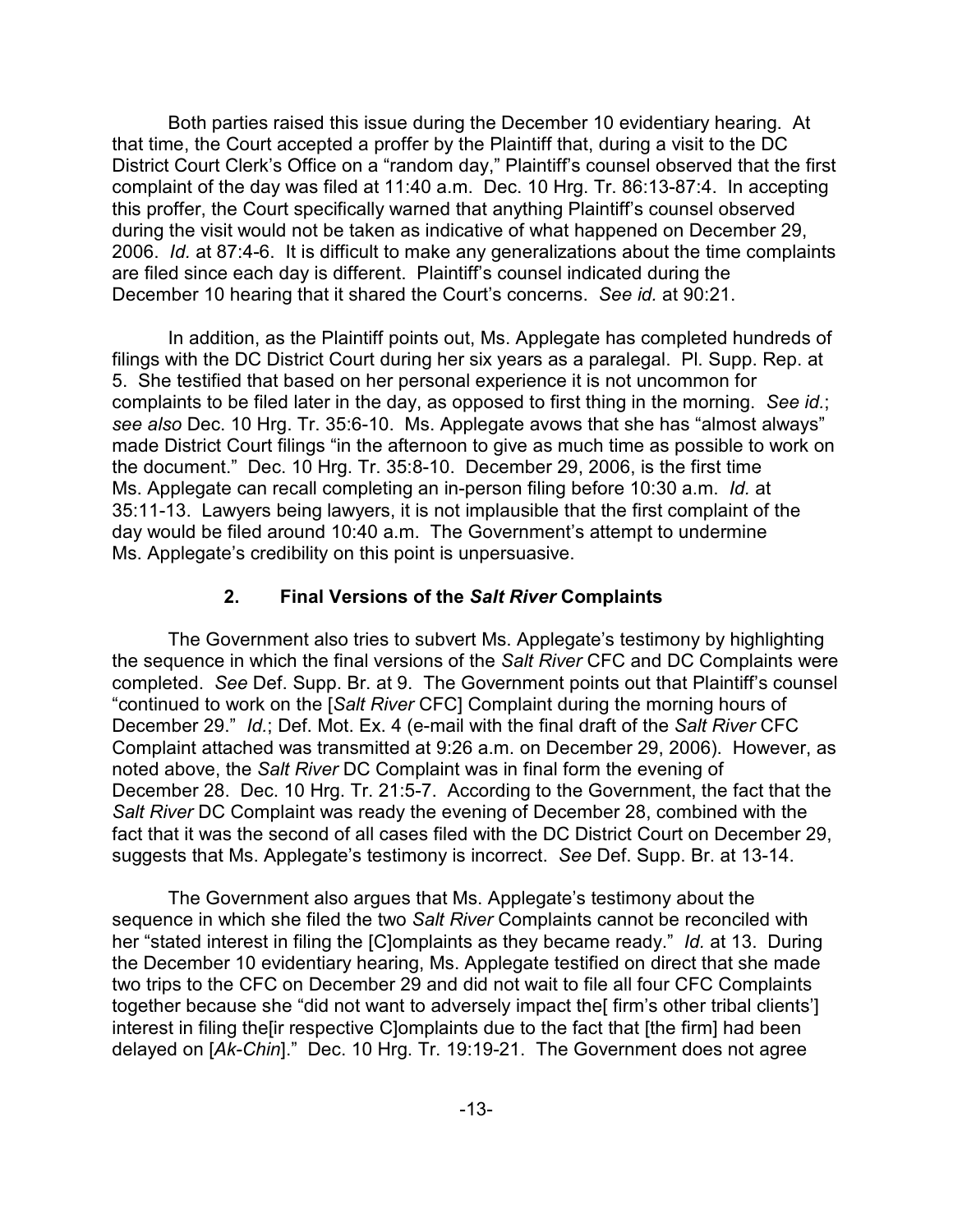Both parties raised this issue during the December 10 evidentiary hearing. At that time, the Court accepted a proffer by the Plaintiff that, during a visit to the DC District Court Clerk's Office on a "random day," Plaintiff's counsel observed that the first complaint of the day was filed at 11:40 a.m. Dec. 10 Hrg. Tr. 86:13-87:4. In accepting this proffer, the Court specifically warned that anything Plaintiff's counsel observed during the visit would not be taken as indicative of what happened on December 29, 2006. *Id.* at 87:4-6. It is difficult to make any generalizations about the time complaints are filed since each day is different. Plaintiff's counsel indicated during the December 10 hearing that it shared the Court's concerns. *See id.* at 90:21.

In addition, as the Plaintiff points out, Ms. Applegate has completed hundreds of filings with the DC District Court during her six years as a paralegal. Pl. Supp. Rep. at 5. She testified that based on her personal experience it is not uncommon for complaints to be filed later in the day, as opposed to first thing in the morning. *See id.*; *see also* Dec. 10 Hrg. Tr. 35:6-10. Ms. Applegate avows that she has "almost always" made District Court filings "in the afternoon to give as much time as possible to work on the document." Dec. 10 Hrg. Tr. 35:8-10. December 29, 2006, is the first time Ms. Applegate can recall completing an in-person filing before 10:30 a.m. *Id.* at 35:11-13. Lawyers being lawyers, it is not implausible that the first complaint of the day would be filed around 10:40 a.m. The Government's attempt to undermine Ms. Applegate's credibility on this point is unpersuasive.

# **2. Final Versions of the** *Salt River* **Complaints**

The Government also tries to subvert Ms. Applegate's testimony by highlighting the sequence in which the final versions of the *Salt River* CFC and DC Complaints were completed. *See* Def. Supp. Br. at 9. The Government points out that Plaintiff's counsel "continued to work on the [*Salt River* CFC] Complaint during the morning hours of December 29." *Id.*; Def. Mot. Ex. 4 (e-mail with the final draft of the *Salt River* CFC Complaint attached was transmitted at 9:26 a.m. on December 29, 2006). However, as noted above, the *Salt River* DC Complaint was in final form the evening of December 28. Dec. 10 Hrg. Tr. 21:5-7. According to the Government, the fact that the *Salt River* DC Complaint was ready the evening of December 28, combined with the fact that it was the second of all cases filed with the DC District Court on December 29, suggests that Ms. Applegate's testimony is incorrect. *See* Def. Supp. Br. at 13-14.

The Government also argues that Ms. Applegate's testimony about the sequence in which she filed the two *Salt River* Complaints cannot be reconciled with her "stated interest in filing the [C]omplaints as they became ready." *Id.* at 13. During the December 10 evidentiary hearing, Ms. Applegate testified on direct that she made two trips to the CFC on December 29 and did not wait to file all four CFC Complaints together because she "did not want to adversely impact the ffirm's other tribal clients'] interest in filing the[ir respective C]omplaints due to the fact that [the firm] had been delayed on [*Ak-Chin*]." Dec. 10 Hrg. Tr. 19:19-21. The Government does not agree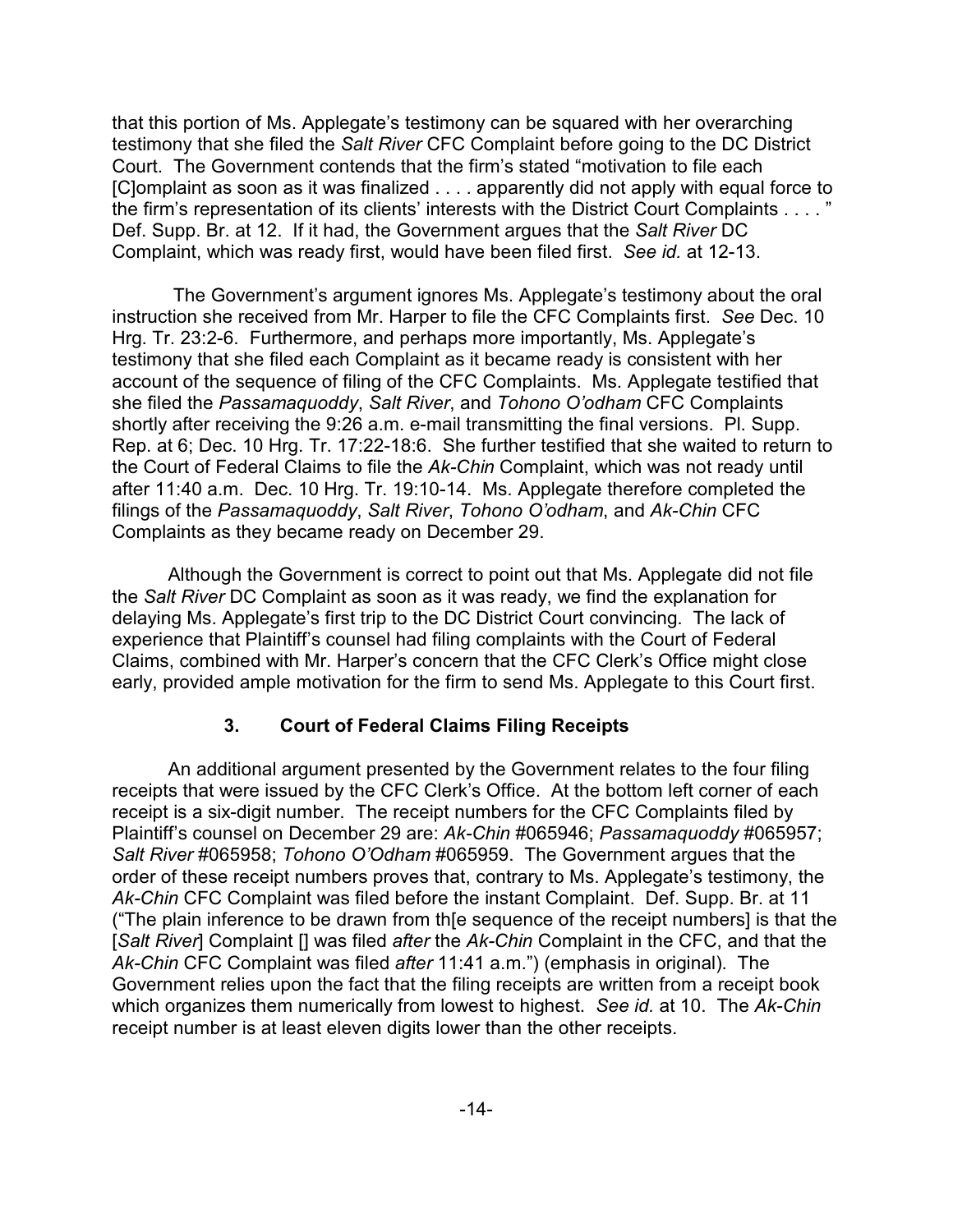that this portion of Ms. Applegate's testimony can be squared with her overarching testimony that she filed the *Salt River* CFC Complaint before going to the DC District Court. The Government contends that the firm's stated "motivation to file each [C]omplaint as soon as it was finalized . . . . apparently did not apply with equal force to the firm's representation of its clients' interests with the District Court Complaints . . . . " Def. Supp. Br. at 12. If it had, the Government argues that the *Salt River* DC Complaint, which was ready first, would have been filed first. *See id.* at 12-13.

 The Government's argument ignores Ms. Applegate's testimony about the oral instruction she received from Mr. Harper to file the CFC Complaints first. *See* Dec. 10 Hrg. Tr. 23:2-6. Furthermore, and perhaps more importantly, Ms. Applegate's testimony that she filed each Complaint as it became ready is consistent with her account of the sequence of filing of the CFC Complaints. Ms. Applegate testified that she filed the *Passamaquoddy*, *Salt River*, and *Tohono O'odham* CFC Complaints shortly after receiving the 9:26 a.m. e-mail transmitting the final versions. Pl. Supp. Rep. at 6; Dec. 10 Hrg. Tr. 17:22-18:6. She further testified that she waited to return to the Court of Federal Claims to file the *Ak-Chin* Complaint, which was not ready until after 11:40 a.m. Dec. 10 Hrg. Tr. 19:10-14. Ms. Applegate therefore completed the filings of the *Passamaquoddy*, *Salt River*, *Tohono O'odham*, and *Ak-Chin* CFC Complaints as they became ready on December 29.

Although the Government is correct to point out that Ms. Applegate did not file the *Salt River* DC Complaint as soon as it was ready, we find the explanation for delaying Ms. Applegate's first trip to the DC District Court convincing. The lack of experience that Plaintiff's counsel had filing complaints with the Court of Federal Claims, combined with Mr. Harper's concern that the CFC Clerk's Office might close early, provided ample motivation for the firm to send Ms. Applegate to this Court first.

# **3. Court of Federal Claims Filing Receipts**

An additional argument presented by the Government relates to the four filing receipts that were issued by the CFC Clerk's Office. At the bottom left corner of each receipt is a six-digit number. The receipt numbers for the CFC Complaints filed by Plaintiff's counsel on December 29 are: *Ak-Chin* #065946; *Passamaquoddy* #065957; *Salt River* #065958; *Tohono O'Odham* #065959. The Government argues that the order of these receipt numbers proves that, contrary to Ms. Applegate's testimony, the *Ak-Chin* CFC Complaint was filed before the instant Complaint. Def. Supp. Br. at 11 ("The plain inference to be drawn from th[e sequence of the receipt numbers] is that the [*Salt River*] Complaint [] was filed *after* the *Ak-Chin* Complaint in the CFC, and that the *Ak-Chin* CFC Complaint was filed *after* 11:41 a.m.") (emphasis in original). The Government relies upon the fact that the filing receipts are written from a receipt book which organizes them numerically from lowest to highest. *See id.* at 10. The *Ak-Chin* receipt number is at least eleven digits lower than the other receipts.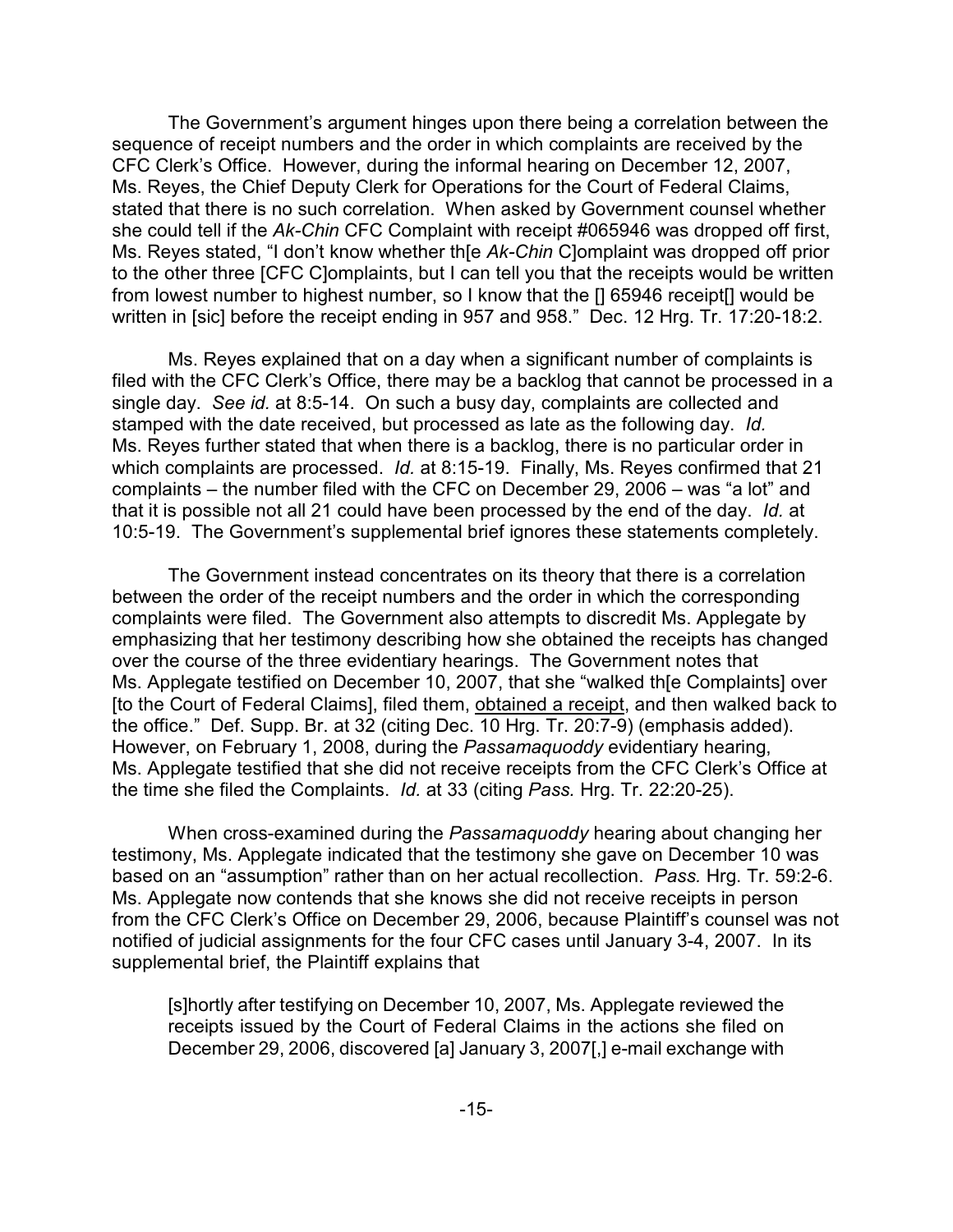The Government's argument hinges upon there being a correlation between the sequence of receipt numbers and the order in which complaints are received by the CFC Clerk's Office. However, during the informal hearing on December 12, 2007, Ms. Reyes, the Chief Deputy Clerk for Operations for the Court of Federal Claims, stated that there is no such correlation. When asked by Government counsel whether she could tell if the *Ak-Chin* CFC Complaint with receipt #065946 was dropped off first, Ms. Reyes stated, "I don't know whether th[e *Ak-Chin* C]omplaint was dropped off prior to the other three [CFC C]omplaints, but I can tell you that the receipts would be written from lowest number to highest number, so I know that the [] 65946 receipt[] would be written in [sic] before the receipt ending in 957 and 958." Dec. 12 Hrg. Tr. 17:20-18:2.

Ms. Reyes explained that on a day when a significant number of complaints is filed with the CFC Clerk's Office, there may be a backlog that cannot be processed in a single day. *See id.* at 8:5-14. On such a busy day, complaints are collected and stamped with the date received, but processed as late as the following day. *Id.* Ms. Reyes further stated that when there is a backlog, there is no particular order in which complaints are processed. *Id.* at 8:15-19. Finally, Ms. Reyes confirmed that 21 complaints – the number filed with the CFC on December 29, 2006 – was "a lot" and that it is possible not all 21 could have been processed by the end of the day. *Id.* at 10:5-19. The Government's supplemental brief ignores these statements completely.

The Government instead concentrates on its theory that there is a correlation between the order of the receipt numbers and the order in which the corresponding complaints were filed. The Government also attempts to discredit Ms. Applegate by emphasizing that her testimony describing how she obtained the receipts has changed over the course of the three evidentiary hearings. The Government notes that Ms. Applegate testified on December 10, 2007, that she "walked th[e Complaints] over [to the Court of Federal Claims], filed them, obtained a receipt, and then walked back to the office." Def. Supp. Br. at 32 (citing Dec. 10 Hrg. Tr. 20:7-9) (emphasis added). However, on February 1, 2008, during the *Passamaquoddy* evidentiary hearing, Ms. Applegate testified that she did not receive receipts from the CFC Clerk's Office at the time she filed the Complaints. *Id.* at 33 (citing *Pass.* Hrg. Tr. 22:20-25).

When cross-examined during the *Passamaquoddy* hearing about changing her testimony, Ms. Applegate indicated that the testimony she gave on December 10 was based on an "assumption" rather than on her actual recollection. *Pass.* Hrg. Tr. 59:2-6. Ms. Applegate now contends that she knows she did not receive receipts in person from the CFC Clerk's Office on December 29, 2006, because Plaintiff's counsel was not notified of judicial assignments for the four CFC cases until January 3-4, 2007. In its supplemental brief, the Plaintiff explains that

[s]hortly after testifying on December 10, 2007, Ms. Applegate reviewed the receipts issued by the Court of Federal Claims in the actions she filed on December 29, 2006, discovered [a] January 3, 2007[,] e-mail exchange with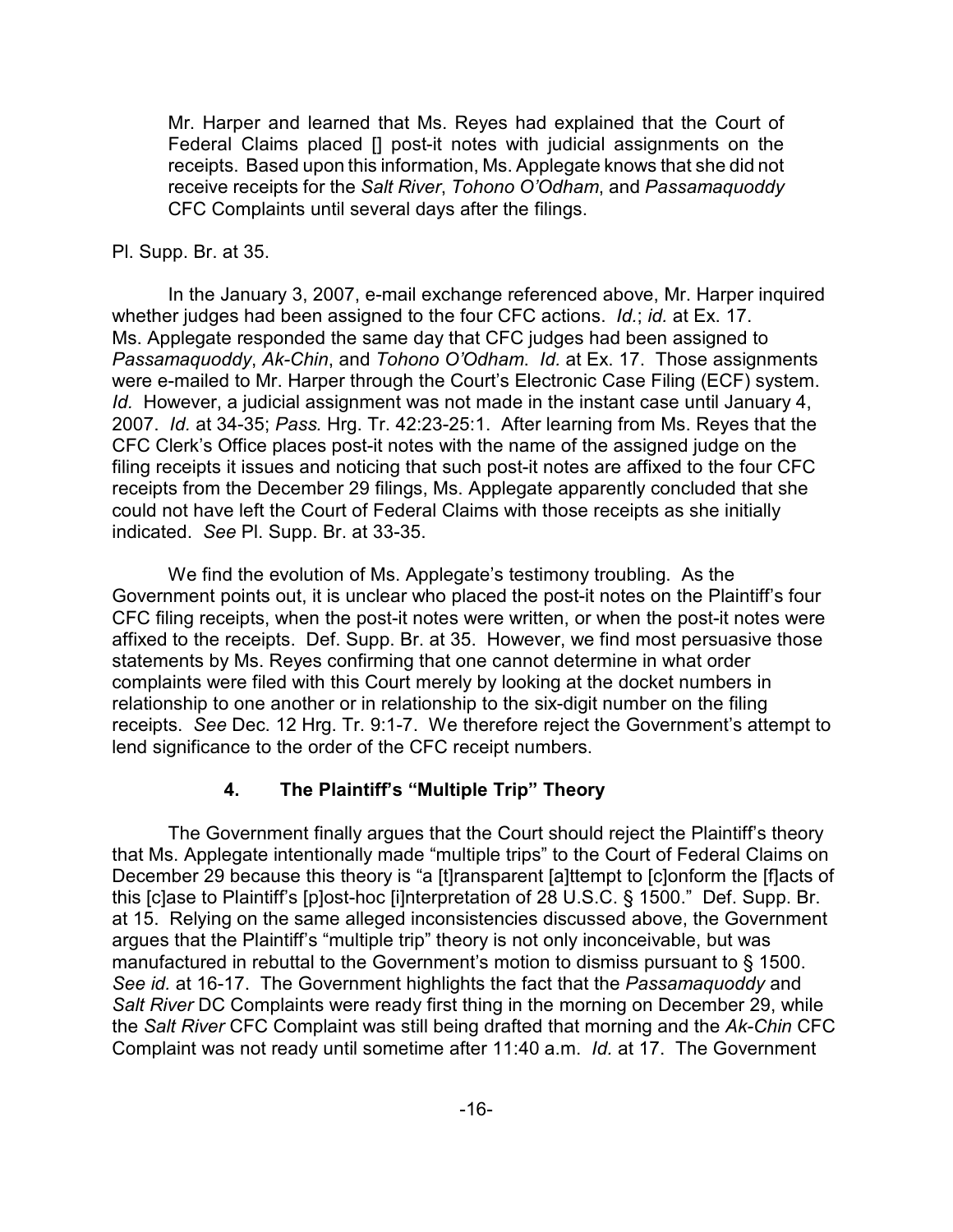Mr. Harper and learned that Ms. Reyes had explained that the Court of Federal Claims placed [] post-it notes with judicial assignments on the receipts. Based upon this information, Ms. Applegate knows that she did not receive receipts for the *Salt River*, *Tohono O'Odham*, and *Passamaquoddy* CFC Complaints until several days after the filings.

### Pl. Supp. Br. at 35.

In the January 3, 2007, e-mail exchange referenced above, Mr. Harper inquired whether judges had been assigned to the four CFC actions. *Id.*; *id.* at Ex. 17. Ms. Applegate responded the same day that CFC judges had been assigned to *Passamaquoddy*, *Ak-Chin*, and *Tohono O'Odham*. *Id.* at Ex. 17. Those assignments were e-mailed to Mr. Harper through the Court's Electronic Case Filing (ECF) system. *Id.* However, a judicial assignment was not made in the instant case until January 4, 2007. *Id.* at 34-35; *Pass.* Hrg. Tr. 42:23-25:1. After learning from Ms. Reyes that the CFC Clerk's Office places post-it notes with the name of the assigned judge on the filing receipts it issues and noticing that such post-it notes are affixed to the four CFC receipts from the December 29 filings, Ms. Applegate apparently concluded that she could not have left the Court of Federal Claims with those receipts as she initially indicated. *See* Pl. Supp. Br. at 33-35.

We find the evolution of Ms. Applegate's testimony troubling. As the Government points out, it is unclear who placed the post-it notes on the Plaintiff's four CFC filing receipts, when the post-it notes were written, or when the post-it notes were affixed to the receipts. Def. Supp. Br. at 35. However, we find most persuasive those statements by Ms. Reyes confirming that one cannot determine in what order complaints were filed with this Court merely by looking at the docket numbers in relationship to one another or in relationship to the six-digit number on the filing receipts. *See* Dec. 12 Hrg. Tr. 9:1-7. We therefore reject the Government's attempt to lend significance to the order of the CFC receipt numbers.

# **4. The Plaintiff's "Multiple Trip" Theory**

The Government finally argues that the Court should reject the Plaintiff's theory that Ms. Applegate intentionally made "multiple trips" to the Court of Federal Claims on December 29 because this theory is "a [t]ransparent [a]ttempt to [c]onform the [f]acts of this [c]ase to Plaintiff's [p]ost-hoc [i]nterpretation of 28 U.S.C. § 1500." Def. Supp. Br. at 15. Relying on the same alleged inconsistencies discussed above, the Government argues that the Plaintiff's "multiple trip" theory is not only inconceivable, but was manufactured in rebuttal to the Government's motion to dismiss pursuant to § 1500. *See id.* at 16-17. The Government highlights the fact that the *Passamaquoddy* and *Salt River* DC Complaints were ready first thing in the morning on December 29, while the *Salt River* CFC Complaint was still being drafted that morning and the *Ak-Chin* CFC Complaint was not ready until sometime after 11:40 a.m. *Id.* at 17. The Government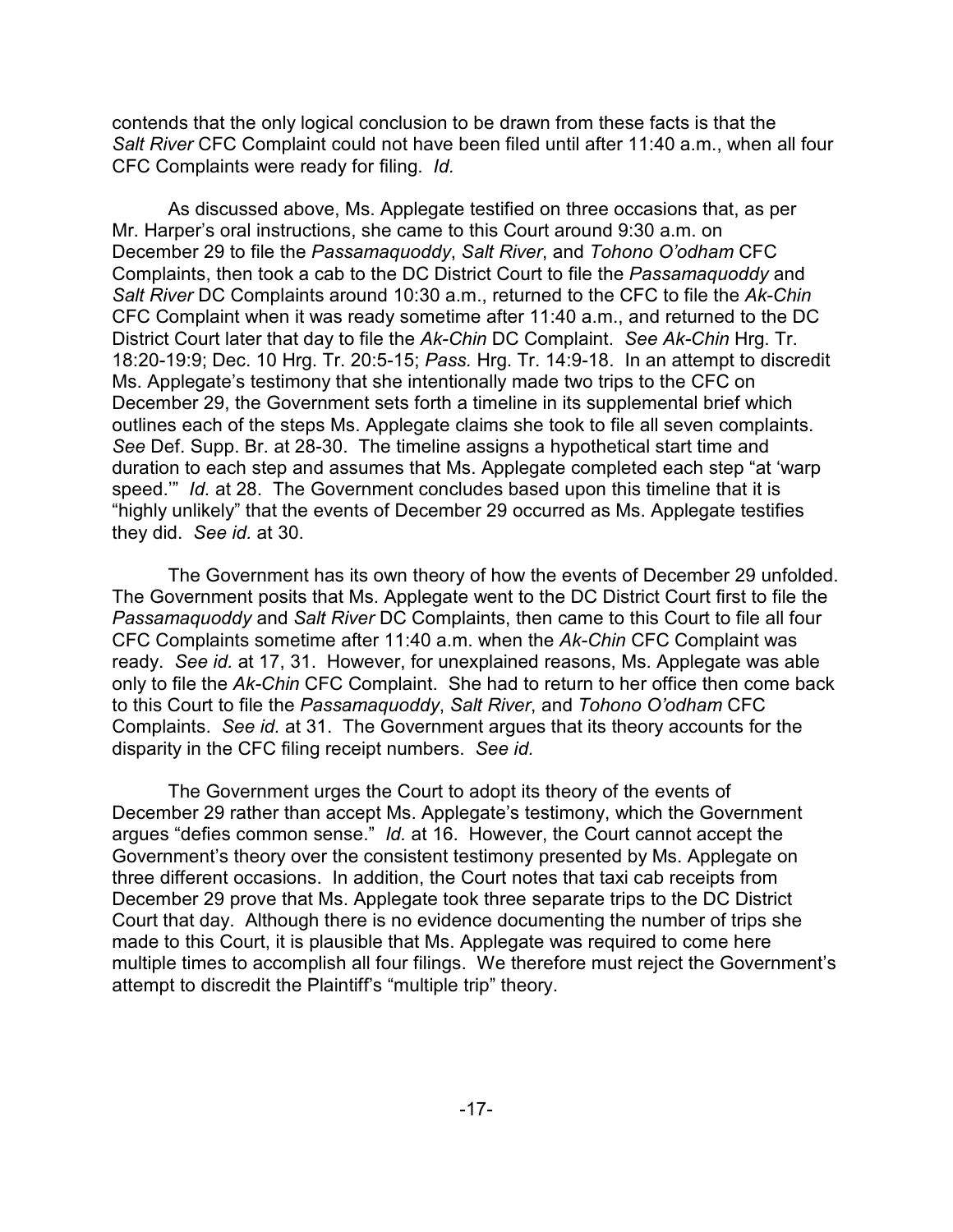contends that the only logical conclusion to be drawn from these facts is that the *Salt River* CFC Complaint could not have been filed until after 11:40 a.m., when all four CFC Complaints were ready for filing. *Id.*

As discussed above, Ms. Applegate testified on three occasions that, as per Mr. Harper's oral instructions, she came to this Court around 9:30 a.m. on December 29 to file the *Passamaquoddy*, *Salt River*, and *Tohono O'odham* CFC Complaints, then took a cab to the DC District Court to file the *Passamaquoddy* and *Salt River* DC Complaints around 10:30 a.m., returned to the CFC to file the *Ak-Chin* CFC Complaint when it was ready sometime after 11:40 a.m., and returned to the DC District Court later that day to file the *Ak-Chin* DC Complaint. *See Ak-Chin* Hrg. Tr. 18:20-19:9; Dec. 10 Hrg. Tr. 20:5-15; *Pass.* Hrg. Tr. 14:9-18. In an attempt to discredit Ms. Applegate's testimony that she intentionally made two trips to the CFC on December 29, the Government sets forth a timeline in its supplemental brief which outlines each of the steps Ms. Applegate claims she took to file all seven complaints. *See* Def. Supp. Br. at 28-30. The timeline assigns a hypothetical start time and duration to each step and assumes that Ms. Applegate completed each step "at 'warp speed.'" *Id.* at 28. The Government concludes based upon this timeline that it is "highly unlikely" that the events of December 29 occurred as Ms. Applegate testifies they did. *See id.* at 30.

The Government has its own theory of how the events of December 29 unfolded. The Government posits that Ms. Applegate went to the DC District Court first to file the *Passamaquoddy* and *Salt River* DC Complaints, then came to this Court to file all four CFC Complaints sometime after 11:40 a.m. when the *Ak-Chin* CFC Complaint was ready. *See id.* at 17, 31. However, for unexplained reasons, Ms. Applegate was able only to file the *Ak-Chin* CFC Complaint. She had to return to her office then come back to this Court to file the *Passamaquoddy*, *Salt River*, and *Tohono O'odham* CFC Complaints. *See id.* at 31. The Government argues that its theory accounts for the disparity in the CFC filing receipt numbers. *See id.*

The Government urges the Court to adopt its theory of the events of December 29 rather than accept Ms. Applegate's testimony, which the Government argues "defies common sense." *Id.* at 16. However, the Court cannot accept the Government's theory over the consistent testimony presented by Ms. Applegate on three different occasions. In addition, the Court notes that taxi cab receipts from December 29 prove that Ms. Applegate took three separate trips to the DC District Court that day. Although there is no evidence documenting the number of trips she made to this Court, it is plausible that Ms. Applegate was required to come here multiple times to accomplish all four filings. We therefore must reject the Government's attempt to discredit the Plaintiff's "multiple trip" theory.